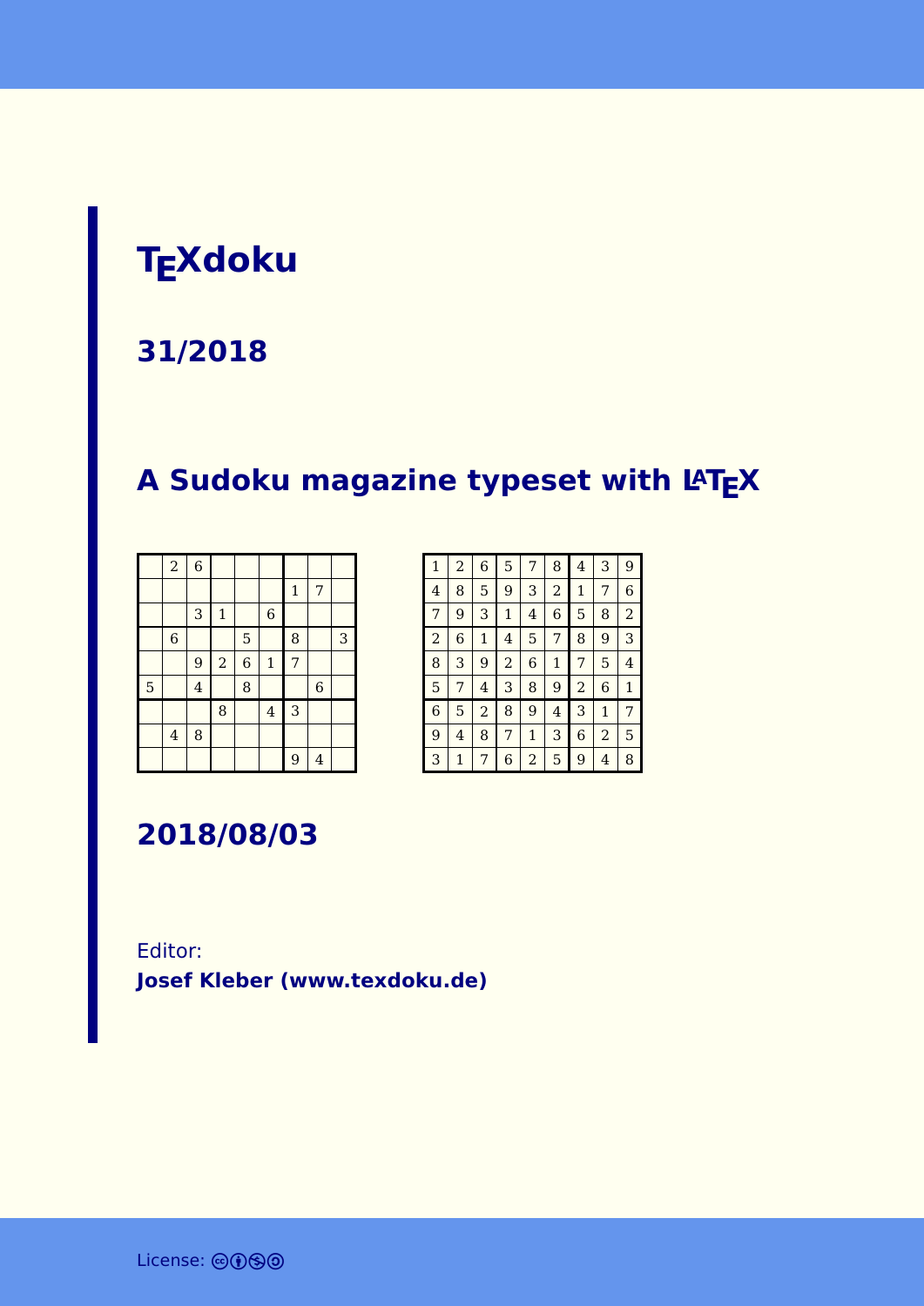# **TEXdoku**

#### **31/2018**

# **A Sudoku magazine typeset with LATEX**

|   | $\boldsymbol{2}$        | $\overline{6}$ |                |                |                |              |                |   |
|---|-------------------------|----------------|----------------|----------------|----------------|--------------|----------------|---|
|   |                         |                |                |                |                | $\mathbf{1}$ | 7              |   |
|   |                         | 3              | $\mathbf 1$    |                | $\,$ 6 $\,$    |              |                |   |
|   | $\,$ 6 $\,$             |                |                | 5              |                | 8            |                | 3 |
|   |                         | 9              | $\overline{a}$ | $\overline{6}$ | $\mathbf 1$    | 7            |                |   |
| 5 |                         | $\overline{4}$ |                | 8              |                |              | $\overline{6}$ |   |
|   |                         |                | 8              |                | $\overline{4}$ | 3            |                |   |
|   | $\overline{\mathbf{4}}$ | 8              |                |                |                |              |                |   |
|   |                         |                |                |                |                | 9            | $\overline{4}$ |   |

| $\mathbf{1}$   | $\overline{a}$ | 6            | 5              | 7            | 8            | 4              | 3              | 9              |
|----------------|----------------|--------------|----------------|--------------|--------------|----------------|----------------|----------------|
| $\overline{4}$ | 8              | 5            | 9              | 3            | 2            | 1              | 7              | 6              |
| 7              | 9              | 3            | $\mathbf 1$    | 4            | 6            | 5              | 8              | $\overline{2}$ |
| $\overline{a}$ | 6              | $\mathbf{1}$ | 4              | 5            | 7            | 8              | 9              | 3              |
| 8              | 3              | 9            | $\overline{2}$ | 6            | $\mathbf{1}$ | 7              | 5              | 4              |
| 5              | 7              | 4            | 3              | 8            | 9            | $\overline{a}$ | 6              | $\mathbf{1}$   |
| 6              | 5              | 2            | 8              | 9            | 4            | 3              | $\mathbf{1}$   | 7              |
| 9              | 4              | 8            | 7              | $\mathbf{1}$ | 3            | 6              | $\overline{2}$ | 5              |
| 3              | 1              | 7            | 6              | 2            | 5            | 9              | 4              | 8              |

**2018/08/03**

#### Editor: **[Josef Kleber \(www.texdoku.de\)](mailto:texdoku@texdoku.de)**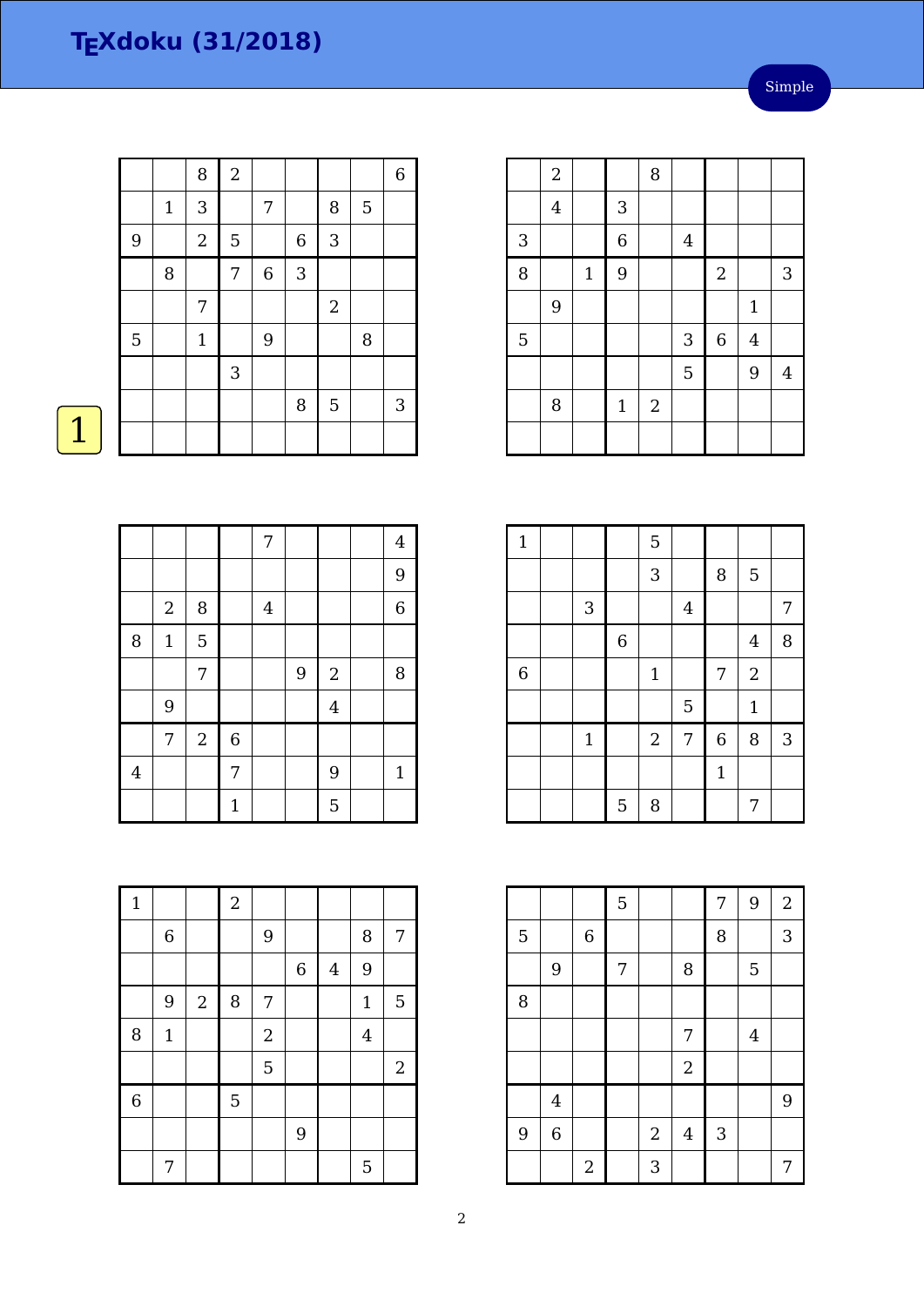|   |              | 8            | $\sqrt{2}$ |             |                  |            |   | $\,$ 6 $\,$ |
|---|--------------|--------------|------------|-------------|------------------|------------|---|-------------|
|   | $\mathbf{1}$ | 3            |            | 7           |                  | 8          | 5 |             |
| 9 |              | $\sqrt{2}$   | 5          |             | $\boldsymbol{6}$ | 3          |   |             |
|   | 8            |              | 7          | $\,$ 6 $\,$ | 3                |            |   |             |
|   |              | 7            |            |             |                  | $\sqrt{2}$ |   |             |
| 5 |              | $\mathbf{1}$ |            | 9           |                  |            | 8 |             |
|   |              |              | 3          |             |                  |            |   |             |
|   |              |              |            |             | 8                | 5          |   | 3           |
|   |              |              |            |             |                  |            |   |             |

|   | $\overline{2}$ |              |                | 8          |                |                  |                |                |
|---|----------------|--------------|----------------|------------|----------------|------------------|----------------|----------------|
|   | $\overline{4}$ |              | $\mathbf{3}$   |            |                |                  |                |                |
| 3 |                |              | $\overline{6}$ |            | $\overline{4}$ |                  |                |                |
| 8 |                | $\mathbf{1}$ | 9              |            |                | $\boldsymbol{2}$ |                | 3              |
|   | 9              |              |                |            |                |                  | $\mathbf{1}$   |                |
| 5 |                |              |                |            | 3              | $\,$ 6 $\,$      | $\overline{4}$ |                |
|   |                |              |                |            | 5              |                  | 9              | $\overline{4}$ |
|   | 8              |              | $\mathbf{1}$   | $\sqrt{2}$ |                |                  |                |                |
|   |                |              |                |            |                |                  |                |                |

| $\mathbf{1}$   |              |                | 5                |                |              |                |   |
|----------------|--------------|----------------|------------------|----------------|--------------|----------------|---|
|                |              |                | 3                |                | 8            | 5              |   |
|                | $\mathbf{3}$ |                |                  | $\overline{4}$ |              |                | 7 |
|                |              | $\overline{6}$ |                  |                |              | $\overline{4}$ | 8 |
| $\overline{6}$ |              |                | $\mathbf{1}$     |                | 7            | $\mathbf{2}$   |   |
|                |              |                |                  | 5              |              | $\mathbf{1}$   |   |
|                | $\mathbf{1}$ |                | $\boldsymbol{2}$ | 7              | $\,$ 6 $\,$  | 8              | 3 |
|                |              |                |                  |                | $\mathbf{1}$ |                |   |
|                |              | 5              | 8                |                |              | 7              |   |

|   |                  |                         | 5 |            |                  | 7            | 9              | $\boldsymbol{2}$ |
|---|------------------|-------------------------|---|------------|------------------|--------------|----------------|------------------|
| 5 |                  | $\,$ 6 $\,$             |   |            |                  | 8            |                | 3                |
|   | $\boldsymbol{9}$ |                         | 7 |            | 8                |              | 5              |                  |
| 8 |                  |                         |   |            |                  |              |                |                  |
|   |                  |                         |   |            | 7                |              | $\overline{4}$ |                  |
|   |                  |                         |   |            | $\boldsymbol{2}$ |              |                |                  |
|   | $\overline{4}$   |                         |   |            |                  |              |                | 9                |
| 9 | $\overline{6}$   |                         |   | $\sqrt{2}$ | $\overline{4}$   | $\mathbf{3}$ |                |                  |
|   |                  | $\overline{\mathbf{c}}$ |   | 3          |                  |              |                | 7                |

|                |                  |                |              | 7                       |   |                  | $\overline{4}$ |
|----------------|------------------|----------------|--------------|-------------------------|---|------------------|----------------|
|                |                  |                |              |                         |   |                  | 9              |
|                | $\boldsymbol{2}$ | $\, 8$         |              | $\overline{\mathbf{4}}$ |   |                  | $\,$ 6 $\,$    |
| 8              | $\mathbf{1}$     | 5              |              |                         |   |                  |                |
|                |                  | 7              |              |                         | 9 | $\boldsymbol{2}$ | $\, 8$         |
|                | 9                |                |              |                         |   | $\overline{4}$   |                |
|                | 7                | $\overline{2}$ | 6            |                         |   |                  |                |
| $\overline{4}$ |                  |                | 7            |                         |   | 9                | 1              |
|                |                  |                | $\mathbf{1}$ |                         |   | 5                |                |

| $\mathbf{1}$ |              |                  | $\boldsymbol{2}$ |                  |                |                |                |                  |
|--------------|--------------|------------------|------------------|------------------|----------------|----------------|----------------|------------------|
|              | $\,6\,$      |                  |                  | $\overline{9}$   |                |                | 8              | 7                |
|              |              |                  |                  |                  | $\overline{6}$ | $\overline{4}$ | 9              |                  |
|              | 9            | $\boldsymbol{2}$ | $\, 8$           | 7                |                |                | $1\,$          | 5                |
| 8            | $\mathbf{1}$ |                  |                  | $\boldsymbol{2}$ |                |                | $\overline{4}$ |                  |
|              |              |                  |                  | 5                |                |                |                | $\boldsymbol{2}$ |
| $\,$ 6 $\,$  |              |                  | 5                |                  |                |                |                |                  |
|              |              |                  |                  |                  | 9              |                |                |                  |
|              | 7            |                  |                  |                  |                |                | 5              |                  |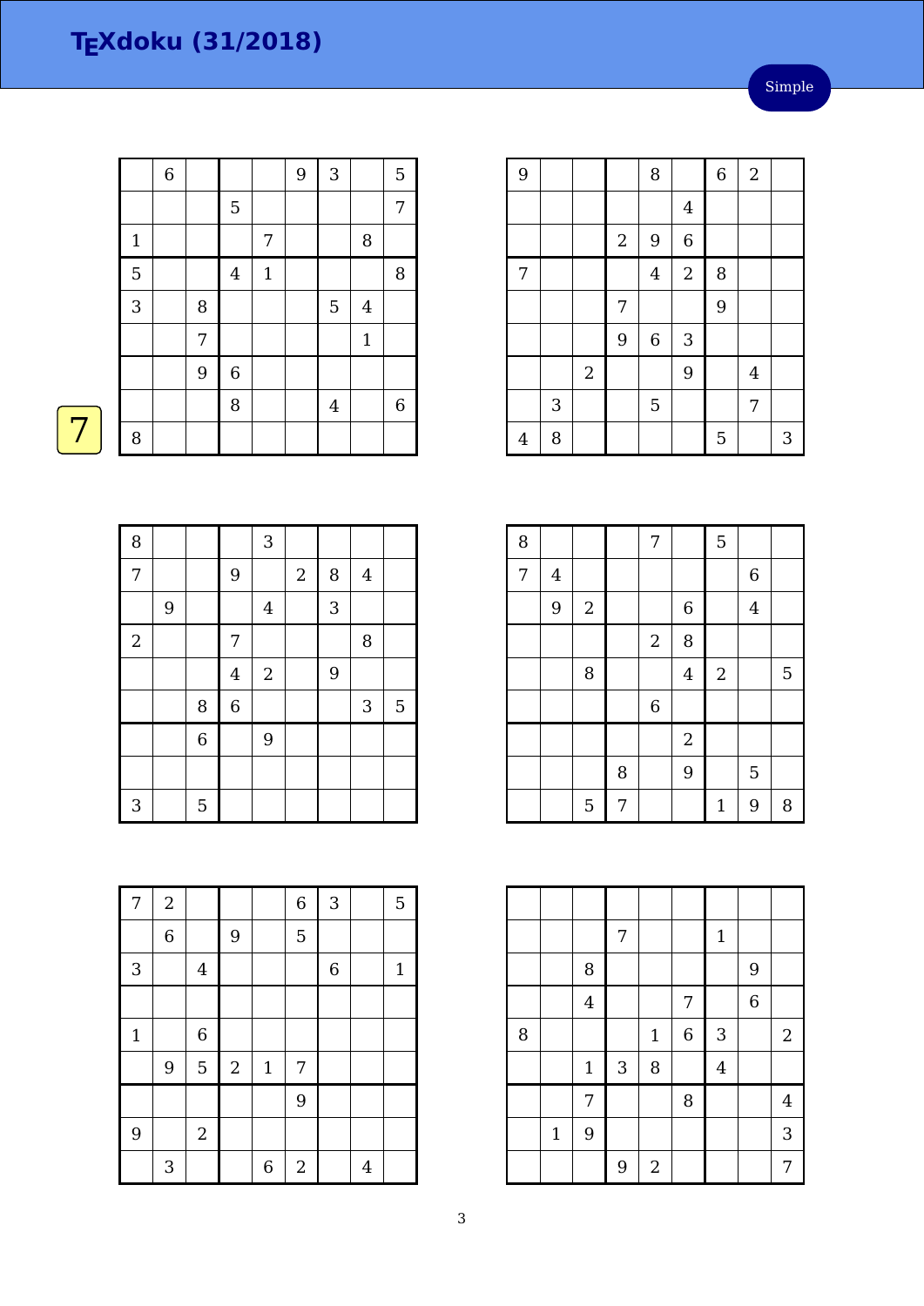|              | $\,$ 6 $\,$ |   |                  |              | 9 | $\overline{3}$          |                | 5           |
|--------------|-------------|---|------------------|--------------|---|-------------------------|----------------|-------------|
|              |             |   | 5                |              |   |                         |                | 7           |
| $\mathbf 1$  |             |   |                  | 7            |   |                         | 8              |             |
| 5            |             |   | $\overline{4}$   | $\mathbf{1}$ |   |                         |                | 8           |
| $\mathbf{3}$ |             | 8 |                  |              |   | 5                       | $\overline{4}$ |             |
|              |             | 7 |                  |              |   |                         | $\mathbf 1$    |             |
|              |             | 9 | $\boldsymbol{6}$ |              |   |                         |                |             |
|              |             |   | 8                |              |   | $\overline{\mathbf{4}}$ |                | $\,$ 6 $\,$ |
| 8            |             |   |                  |              |   |                         |                |             |

| 8              |   |                  |                | 3          |            |                |                  |                |
|----------------|---|------------------|----------------|------------|------------|----------------|------------------|----------------|
| $\overline{7}$ |   |                  | 9              |            | $\sqrt{2}$ | $\, 8$         | $\boldsymbol{4}$ |                |
|                | 9 |                  |                | $\bf 4$    |            | $\overline{3}$ |                  |                |
| $\overline{2}$ |   |                  | 7              |            |            |                | 8                |                |
|                |   |                  | $\overline{4}$ | $\sqrt{2}$ |            | 9              |                  |                |
|                |   | 8                | $\overline{6}$ |            |            |                | $\mathbf{3}$     | $\overline{5}$ |
|                |   | $\boldsymbol{6}$ |                | 9          |            |                |                  |                |
|                |   |                  |                |            |            |                |                  |                |
| 3              |   | 5                |                |            |            |                |                  |                |

| 7           | $\boldsymbol{2}$ |                |                  |                  | $\,$ 6 $\,$ | 3              |   | 5            |
|-------------|------------------|----------------|------------------|------------------|-------------|----------------|---|--------------|
|             | $\overline{6}$   |                | 9                |                  | 5           |                |   |              |
| 3           |                  | $\bf 4$        |                  |                  |             | $\overline{6}$ |   | $\mathbf{1}$ |
|             |                  |                |                  |                  |             |                |   |              |
| $\mathbf 1$ |                  | 6              |                  |                  |             |                |   |              |
|             | 9                | 5              | $\boldsymbol{2}$ | $1\,$            | 7           |                |   |              |
|             |                  |                |                  |                  | 9           |                |   |              |
| 9           |                  | $\overline{2}$ |                  |                  |             |                |   |              |
|             | 3                |                |                  | $\boldsymbol{6}$ | $\sqrt{2}$  |                | 4 |              |

| 9              |   |            |                  | 8                |                | $\overline{6}$ | $\overline{2}$ |   |
|----------------|---|------------|------------------|------------------|----------------|----------------|----------------|---|
|                |   |            |                  |                  | $\overline{4}$ |                |                |   |
|                |   |            | $\boldsymbol{2}$ | 9                | $\overline{6}$ |                |                |   |
| 7              |   |            |                  | $\overline{4}$   | $\overline{c}$ | 8              |                |   |
|                |   |            | 7                |                  |                | 9              |                |   |
|                |   |            | $\overline{9}$   | $\boldsymbol{6}$ | 3              |                |                |   |
|                |   | $\sqrt{2}$ |                  |                  | 9              |                | $\overline{4}$ |   |
|                | 3 |            |                  | 5                |                |                | 7              |   |
| $\overline{4}$ | 8 |            |                  |                  |                | 5              |                | 3 |

| 8 |                         |                |   | 7                |                | 5                |                |   |
|---|-------------------------|----------------|---|------------------|----------------|------------------|----------------|---|
| 7 | $\overline{\mathbf{4}}$ |                |   |                  |                |                  | 6              |   |
|   | 9                       | $\overline{2}$ |   |                  | 6              |                  | $\overline{4}$ |   |
|   |                         |                |   | $\sqrt{2}$       | 8              |                  |                |   |
|   |                         | 8              |   |                  | $\overline{4}$ | $\boldsymbol{2}$ |                | 5 |
|   |                         |                |   | $\boldsymbol{6}$ |                |                  |                |   |
|   |                         |                |   |                  | $\sqrt{2}$     |                  |                |   |
|   |                         |                | 8 |                  | 9              |                  | 5              |   |
|   |                         | 5              | 7 |                  |                | $\mathbf 1$      | 9              | 8 |

|   |       |                | 7 |            |                  | $\mathbf 1$    |                |                |
|---|-------|----------------|---|------------|------------------|----------------|----------------|----------------|
|   |       | 8              |   |            |                  |                | 9              |                |
|   |       | $\overline{4}$ |   |            | 7                |                | $\overline{6}$ |                |
| 8 |       |                |   | $1\,$      | $\boldsymbol{6}$ | 3              |                | $\overline{2}$ |
|   |       | $1\,$          | 3 | 8          |                  | $\overline{4}$ |                |                |
|   |       | 7              |   |            | 8                |                |                | $\overline{4}$ |
|   | $1\,$ | 9              |   |            |                  |                |                | 3              |
|   |       |                | 9 | $\sqrt{2}$ |                  |                |                | 7              |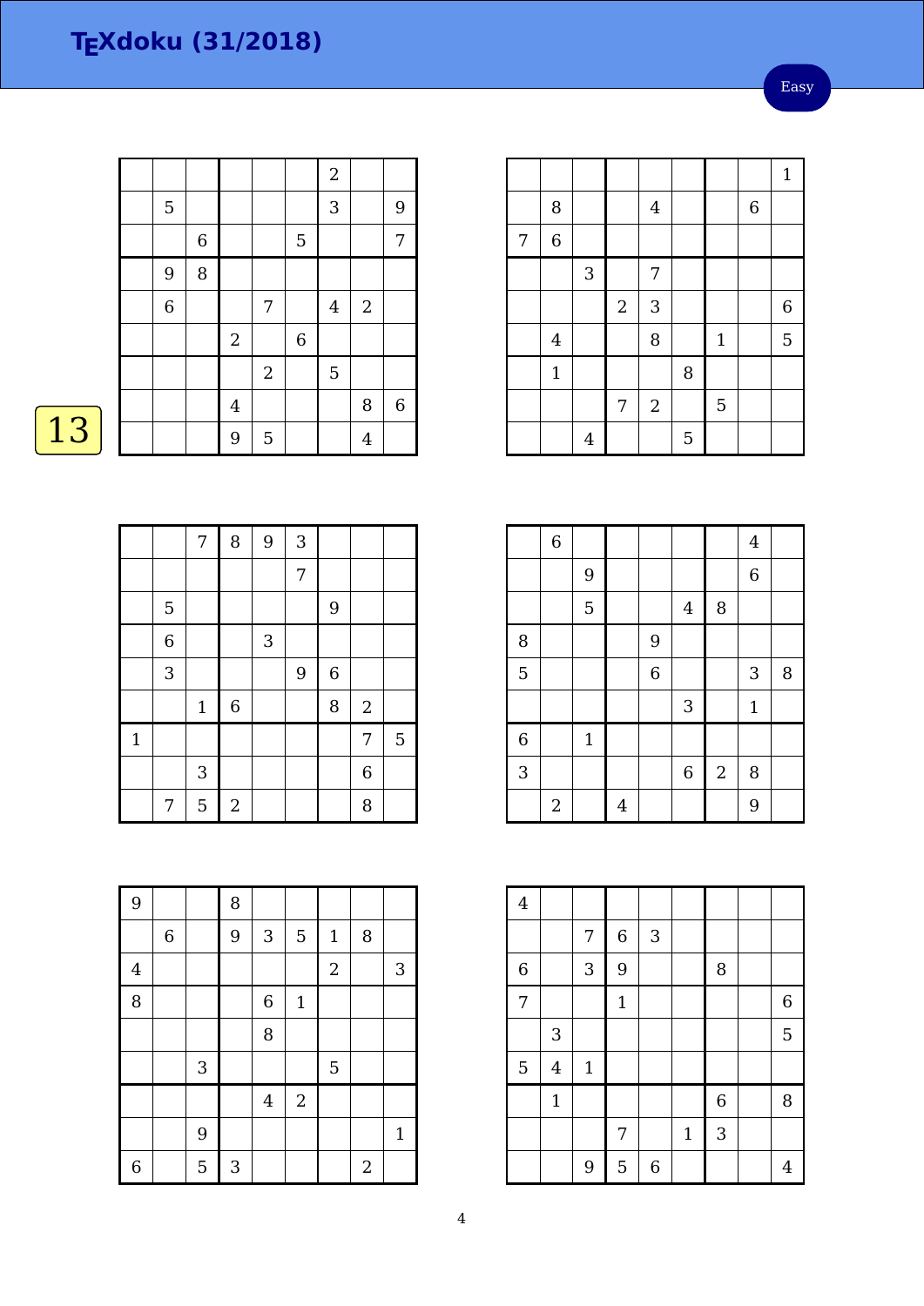Easy

|   |                |                         |                |         | $\overline{2}$ |                |         |
|---|----------------|-------------------------|----------------|---------|----------------|----------------|---------|
| 5 |                |                         |                |         | 3              |                | 9       |
|   | $\overline{6}$ |                         |                | 5       |                |                | 7       |
| 9 | 8              |                         |                |         |                |                |         |
| 6 |                |                         | 7              |         | $\bf 4$        | $\sqrt{2}$     |         |
|   |                | $\sqrt{2}$              |                | $\,6\,$ |                |                |         |
|   |                |                         | $\sqrt{2}$     |         | $\overline{5}$ |                |         |
|   |                | $\overline{\mathbf{4}}$ |                |         |                | 8              | $\,6\,$ |
|   |                | 9                       | $\overline{5}$ |         |                | $\overline{4}$ |         |

# $\boxed{13}$

|              |                | $\overline{7}$ | 8           | 9 | 3              |                  |                |   |
|--------------|----------------|----------------|-------------|---|----------------|------------------|----------------|---|
|              |                |                |             |   | $\overline{7}$ |                  |                |   |
|              | 5              |                |             |   |                | 9                |                |   |
|              | $\overline{6}$ |                |             | 3 |                |                  |                |   |
|              | 3              |                |             |   | 9              | $\boldsymbol{6}$ |                |   |
|              |                | $\mathbf{1}$   | $\,$ 6 $\,$ |   |                | 8                | $\sqrt{2}$     |   |
| $\mathbf{1}$ |                |                |             |   |                |                  | 7              | 5 |
|              |                | 3              |             |   |                |                  | $\overline{6}$ |   |
|              | 7              | 5              | $\sqrt{2}$  |   |                |                  | 8              |   |

| 9              |         |            | 8            |                  |                |                |                |              |
|----------------|---------|------------|--------------|------------------|----------------|----------------|----------------|--------------|
|                | $\,6\,$ |            | 9            | $\sqrt{3}$       | 5              | $\mathbf{1}$   | 8              |              |
| $\overline{4}$ |         |            |              |                  |                | $\overline{2}$ |                | 3            |
| 8              |         |            |              | $\boldsymbol{6}$ | $\mathbf{1}$   |                |                |              |
|                |         |            |              | 8                |                |                |                |              |
|                |         | $\sqrt{3}$ |              |                  |                | 5              |                |              |
|                |         |            |              | $\overline{4}$   | $\overline{c}$ |                |                |              |
|                |         | 9          |              |                  |                |                |                | $\mathbf{1}$ |
| 6              |         | 5          | $\mathbf{3}$ |                  |                |                | $\overline{2}$ |              |

|   |                |                |                |            |   |             |             | $\mathbf{1}$   |
|---|----------------|----------------|----------------|------------|---|-------------|-------------|----------------|
|   | 8              |                |                | $\bf 4$    |   |             | $\,$ 6 $\,$ |                |
| 7 | $\overline{6}$ |                |                |            |   |             |             |                |
|   |                | 3              |                | 7          |   |             |             |                |
|   |                |                | $\overline{2}$ | 3          |   |             |             | $\overline{6}$ |
|   | $\overline{4}$ |                |                | 8          |   | $\mathbf 1$ |             | 5              |
|   | $\mathbf{1}$   |                |                |            | 8 |             |             |                |
|   |                |                | 7              | $\sqrt{2}$ |   | 5           |             |                |
|   |                | $\overline{4}$ |                |            | 5 |             |             |                |

|                | $\,$ 6 $\,$ |              |                |             |                |                  | $\overline{4}$ |   |
|----------------|-------------|--------------|----------------|-------------|----------------|------------------|----------------|---|
|                |             | 9            |                |             |                |                  | $\,$ 6 $\,$    |   |
|                |             | 5            |                |             | $\overline{4}$ | 8                |                |   |
| 8              |             |              |                | 9           |                |                  |                |   |
| 5              |             |              |                | $\,$ 6 $\,$ |                |                  | 3              | 8 |
|                |             |              |                |             | 3              |                  | $\mathbf{1}$   |   |
| $\overline{6}$ |             | $\mathbf{1}$ |                |             |                |                  |                |   |
| 3              |             |              |                |             | $\overline{6}$ | $\boldsymbol{2}$ | 8              |   |
|                | $\sqrt{2}$  |              | $\overline{4}$ |             |                |                  | 9              |   |

| $\overline{4}$ |                |             |              |   |              |                |                  |
|----------------|----------------|-------------|--------------|---|--------------|----------------|------------------|
|                |                | 7           | $\,$ 6 $\,$  | 3 |              |                |                  |
| $\,$ 6 $\,$    |                | 3           | 9            |   |              | 8              |                  |
| 7              |                |             | $\mathbf{1}$ |   |              |                | $\boldsymbol{6}$ |
|                | $\sqrt{3}$     |             |              |   |              |                | 5                |
| 5              | $\overline{4}$ | $\mathbf 1$ |              |   |              |                |                  |
|                | $\mathbf 1$    |             |              |   |              | $\overline{6}$ | 8                |
|                |                |             | 7            |   | $\mathbf{1}$ | 3              |                  |
|                |                | 9           | 5            | 6 |              |                | 4                |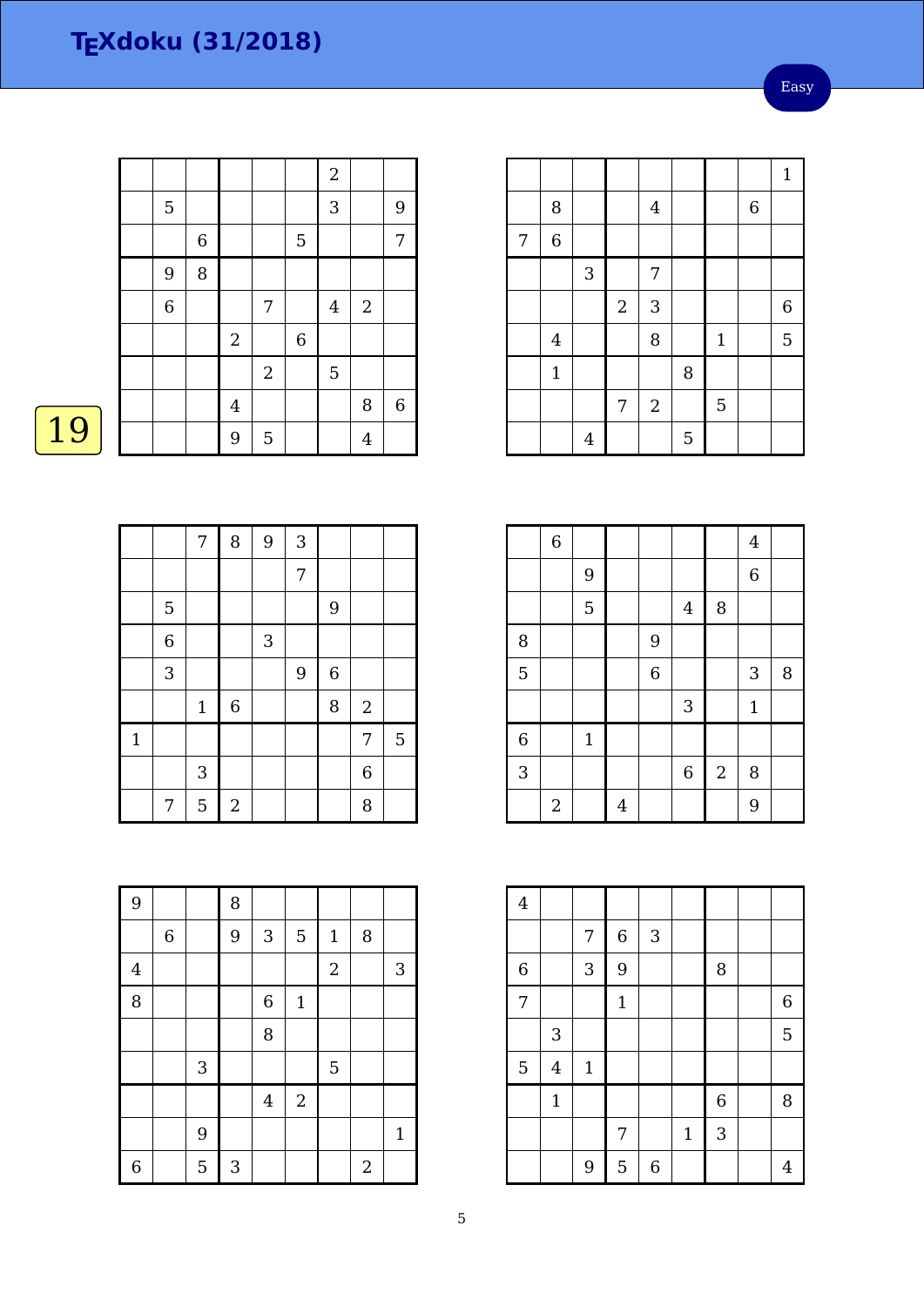Easy

|                |             |                         |                  |         | $\overline{a}$ |                |       |
|----------------|-------------|-------------------------|------------------|---------|----------------|----------------|-------|
|                |             |                         |                  |         |                |                |       |
| 5              |             |                         |                  |         | 3              |                | 9     |
|                | $\,$ 6 $\,$ |                         |                  | 5       |                |                | 7     |
| 9              | 8           |                         |                  |         |                |                |       |
| $\overline{6}$ |             |                         | 7                |         | $\overline{4}$ | $\sqrt{2}$     |       |
|                |             | $\sqrt{2}$              |                  | $\,6\,$ |                |                |       |
|                |             |                         | $\boldsymbol{2}$ |         | $\overline{5}$ |                |       |
|                |             | $\overline{\mathbf{4}}$ |                  |         |                | 8              | $\,6$ |
|                |             | 9                       | $\overline{5}$   |         |                | $\overline{4}$ |       |

# $\boxed{19}$

|              |                | $\overline{7}$ | 8          | 9 | 3              |   |                  |   |
|--------------|----------------|----------------|------------|---|----------------|---|------------------|---|
|              |                |                |            |   | $\overline{7}$ |   |                  |   |
|              | $\overline{5}$ |                |            |   |                | 9 |                  |   |
|              | $\,$ 6 $\,$    |                |            | 3 |                |   |                  |   |
|              | 3              |                |            |   | 9              | 6 |                  |   |
|              |                | $\mathbf{1}$   | $\,6$      |   |                | 8 | $\sqrt{2}$       |   |
| $\mathbf{1}$ |                |                |            |   |                |   | 7                | 5 |
|              |                | 3              |            |   |                |   | $\boldsymbol{6}$ |   |
|              | 7              | 5              | $\sqrt{2}$ |   |                |   | 8                |   |

| 9              |         |   | 8 |                |              |                |                |              |
|----------------|---------|---|---|----------------|--------------|----------------|----------------|--------------|
|                | $\,6\,$ |   | 9 | 3              | 5            | $\mathbf{1}$   | 8              |              |
| $\overline{4}$ |         |   |   |                |              | $\overline{a}$ |                | 3            |
| 8              |         |   |   | 6              | $\mathbf{1}$ |                |                |              |
|                |         |   |   | 8              |              |                |                |              |
|                |         | 3 |   |                |              | 5              |                |              |
|                |         |   |   | $\overline{4}$ | $\sqrt{2}$   |                |                |              |
|                |         | 9 |   |                |              |                |                | $\mathbf{1}$ |
| $\overline{6}$ |         | 5 | 3 |                |              |                | $\overline{2}$ |              |

|   |                |                |                |            |   |             |             | $\mathbf{1}$     |
|---|----------------|----------------|----------------|------------|---|-------------|-------------|------------------|
|   | 8              |                |                | $\bf 4$    |   |             | $\,$ 6 $\,$ |                  |
| 7 | $\,6$          |                |                |            |   |             |             |                  |
|   |                | $\mathfrak{Z}$ |                | 7          |   |             |             |                  |
|   |                |                | $\sqrt{2}$     | 3          |   |             |             | $\boldsymbol{6}$ |
|   | $\overline{4}$ |                |                | 8          |   | $\mathbf 1$ |             | 5                |
|   | $\overline{1}$ |                |                |            | 8 |             |             |                  |
|   |                |                | $\overline{7}$ | $\sqrt{2}$ |   | 5           |             |                  |
|   |                | $\overline{4}$ |                |            | 5 |             |             |                  |

|                | $\,$ 6 $\,$ |                |                |                |             |                  | $\overline{4}$ |   |
|----------------|-------------|----------------|----------------|----------------|-------------|------------------|----------------|---|
|                |             | $\overline{9}$ |                |                |             |                  | $\,$ 6 $\,$    |   |
|                |             | 5              |                |                | $\bf 4$     | 8                |                |   |
| 8              |             |                |                | 9              |             |                  |                |   |
| 5              |             |                |                | $\overline{6}$ |             |                  | 3              | 8 |
|                |             |                |                |                | 3           |                  | $\mathbf{1}$   |   |
| $\overline{6}$ |             | $\mathbf 1$    |                |                |             |                  |                |   |
| 3              |             |                |                |                | $\,$ 6 $\,$ | $\boldsymbol{2}$ | 8              |   |
|                | $\sqrt{2}$  |                | $\overline{4}$ |                |             |                  | 9              |   |

| $\overline{4}$ |                |             |              |             |              |                |                  |
|----------------|----------------|-------------|--------------|-------------|--------------|----------------|------------------|
|                |                | 7           | $\,$ 6 $\,$  | 3           |              |                |                  |
| $\,$ 6 $\,$    |                | 3           | 9            |             |              | 8              |                  |
| $\overline{7}$ |                |             | $\mathbf{1}$ |             |              |                | $\boldsymbol{6}$ |
|                | 3              |             |              |             |              |                | 5                |
| 5              | $\overline{4}$ | $\mathbf 1$ |              |             |              |                |                  |
|                | $1\,$          |             |              |             |              | $\overline{6}$ | 8                |
|                |                |             | 7            |             | $\mathbf{1}$ | 3              |                  |
|                |                | 9           | 5            | $\,$ 6 $\,$ |              |                | 4                |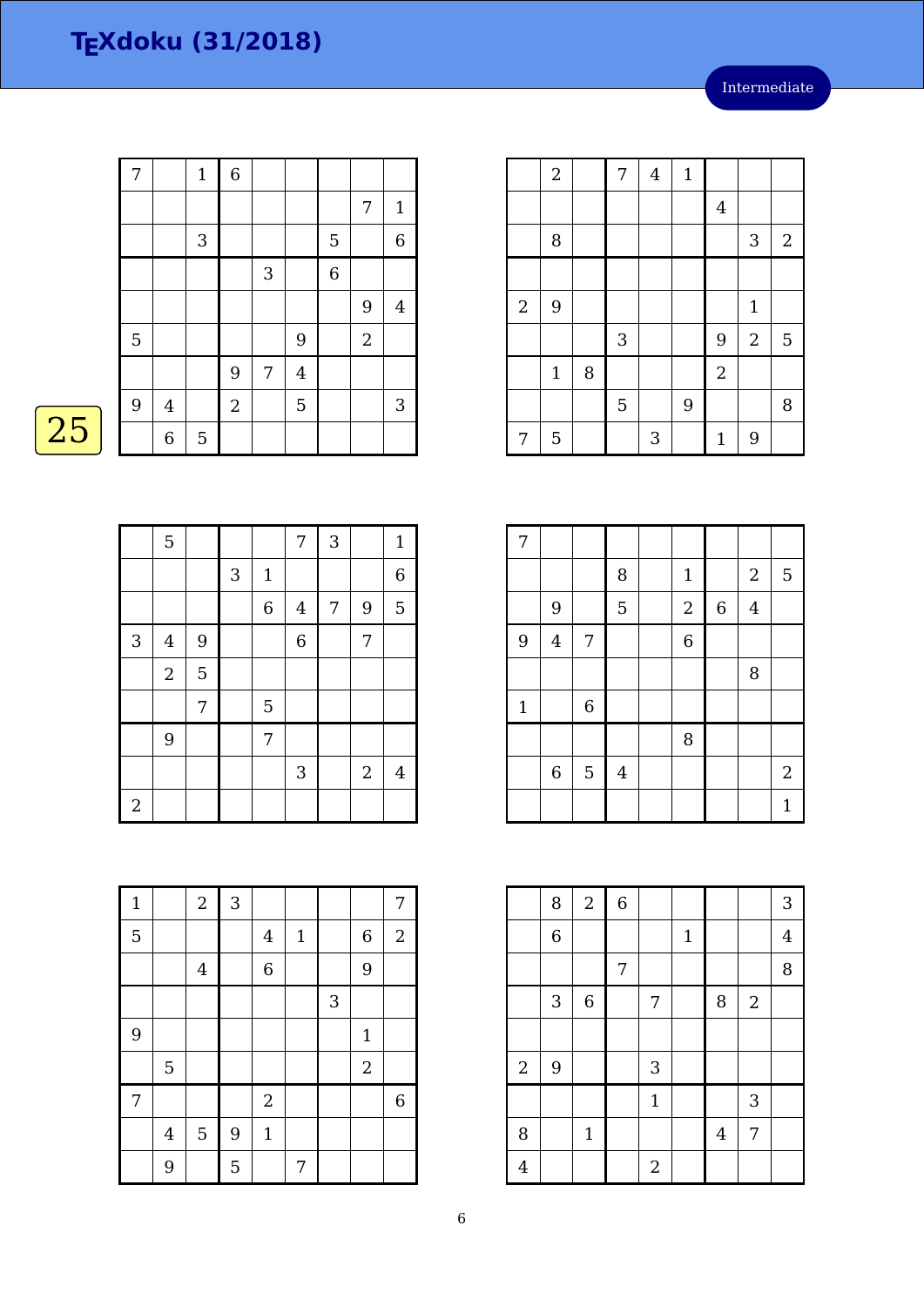| 7              |                | $\mathbf{1}$ | $\overline{6}$ |   |                |                |            |                |
|----------------|----------------|--------------|----------------|---|----------------|----------------|------------|----------------|
|                |                |              |                |   |                |                | 7          | $\mathbf{1}$   |
|                |                | 3            |                |   |                | 5              |            | $\overline{6}$ |
|                |                |              |                | 3 |                | $\overline{6}$ |            |                |
|                |                |              |                |   |                |                | 9          | $\bf 4$        |
| 5              |                |              |                |   | 9              |                | $\sqrt{2}$ |                |
|                |                |              | 9              | 7 | $\overline{4}$ |                |            |                |
| $\overline{9}$ | $\overline{4}$ |              | $\overline{2}$ |   | 5              |                |            | $\mathbf{3}$   |
|                | $\,$ 6 $\,$    | 5            |                |   |                |                |            |                |

 $\overline{25}$ 

|            | 5              |   |   |                | $\overline{7}$ | 3              |                | $\mathbf{1}$   |
|------------|----------------|---|---|----------------|----------------|----------------|----------------|----------------|
|            |                |   | 3 | $\mathbf 1$    |                |                |                | $\overline{6}$ |
|            |                |   |   | $\overline{6}$ | $\overline{4}$ | $\overline{7}$ | 9              | 5              |
| $\sqrt{3}$ | $\overline{4}$ | 9 |   |                | $\overline{6}$ |                | 7              |                |
|            | $\sqrt{2}$     | 5 |   |                |                |                |                |                |
|            |                | 7 |   | 5              |                |                |                |                |
|            | 9              |   |   | 7              |                |                |                |                |
|            |                |   |   |                | 3              |                | $\overline{2}$ | 4              |
| $\sqrt{2}$ |                |   |   |                |                |                |                |                |

|            | $\sqrt{2}$  |   | 7          | $\overline{4}$ | $\mathbf{1}$ |                |                |            |
|------------|-------------|---|------------|----------------|--------------|----------------|----------------|------------|
|            |             |   |            |                |              | $\bf 4$        |                |            |
|            | 8           |   |            |                |              |                | 3              | $\sqrt{2}$ |
|            |             |   |            |                |              |                |                |            |
| $\sqrt{2}$ | 9           |   |            |                |              |                | $\mathbf{1}$   |            |
|            |             |   | $\sqrt{3}$ |                |              | 9              | $\overline{2}$ | 5          |
|            | $1\,$       | 8 |            |                |              | $\overline{2}$ |                |            |
|            |             |   | 5          |                | 9            |                |                | 8          |
| 7          | $\mathbf 5$ |   |            | 3              |              | $\mathbf 1$    | 9              |            |

| 7           |         |                |                         |                |             |                  |   |
|-------------|---------|----------------|-------------------------|----------------|-------------|------------------|---|
|             |         |                | 8                       | $\mathbf{1}$   |             | $\boldsymbol{2}$ | 5 |
|             | 9       |                | 5                       | $\overline{2}$ | $\,$ 6 $\,$ | $\bf 4$          |   |
| 9           | $\bf 4$ | 7              |                         | $\overline{6}$ |             |                  |   |
|             |         |                |                         |                |             | 8                |   |
| $\mathbf 1$ |         | $\overline{6}$ |                         |                |             |                  |   |
|             |         |                |                         | 8              |             |                  |   |
|             | $\,6$   | $\mathbf 5$    | $\overline{\mathbf{4}}$ |                |             |                  | 2 |
|             |         |                |                         |                |             |                  | 1 |

|                | 8              | $\sqrt{2}$     | 6          |                |              |                |            | 3              |
|----------------|----------------|----------------|------------|----------------|--------------|----------------|------------|----------------|
|                | $\overline{6}$ |                |            |                | $\mathbf{1}$ |                |            | $\overline{4}$ |
|                |                |                | $\sqrt{ }$ |                |              |                |            | 8              |
|                | 3              | $\overline{6}$ |            | $\overline{7}$ |              | 8              | $\sqrt{2}$ |                |
|                |                |                |            |                |              |                |            |                |
| $\sqrt{2}$     | 9              |                |            | 3              |              |                |            |                |
|                |                |                |            | $\mathbf{1}$   |              |                | 3          |                |
| 8              |                | $\mathbf 1$    |            |                |              | $\overline{4}$ | 7          |                |
| $\overline{4}$ |                |                |            | $\sqrt{2}$     |              |                |            |                |

| $\mathbf{1}$   |             | $\overline{2}$ | 3 |                  |             |   |                  | 7              |
|----------------|-------------|----------------|---|------------------|-------------|---|------------------|----------------|
| $\overline{5}$ |             |                |   | $\overline{4}$   | $\mathbf 1$ |   | 6                | $\overline{2}$ |
|                |             | $\bf 4$        |   | $\overline{6}$   |             |   | 9                |                |
|                |             |                |   |                  |             | 3 |                  |                |
| 9              |             |                |   |                  |             |   | $\mathbf{1}$     |                |
|                | $\mathbf 5$ |                |   |                  |             |   | $\boldsymbol{2}$ |                |
| 7              |             |                |   | $\boldsymbol{2}$ |             |   |                  | $\,6\,$        |
|                | $\bf 4$     | $\mathbf 5$    | 9 | $\mathbf{1}$     |             |   |                  |                |
|                | 9           |                | 5 |                  | 7           |   |                  |                |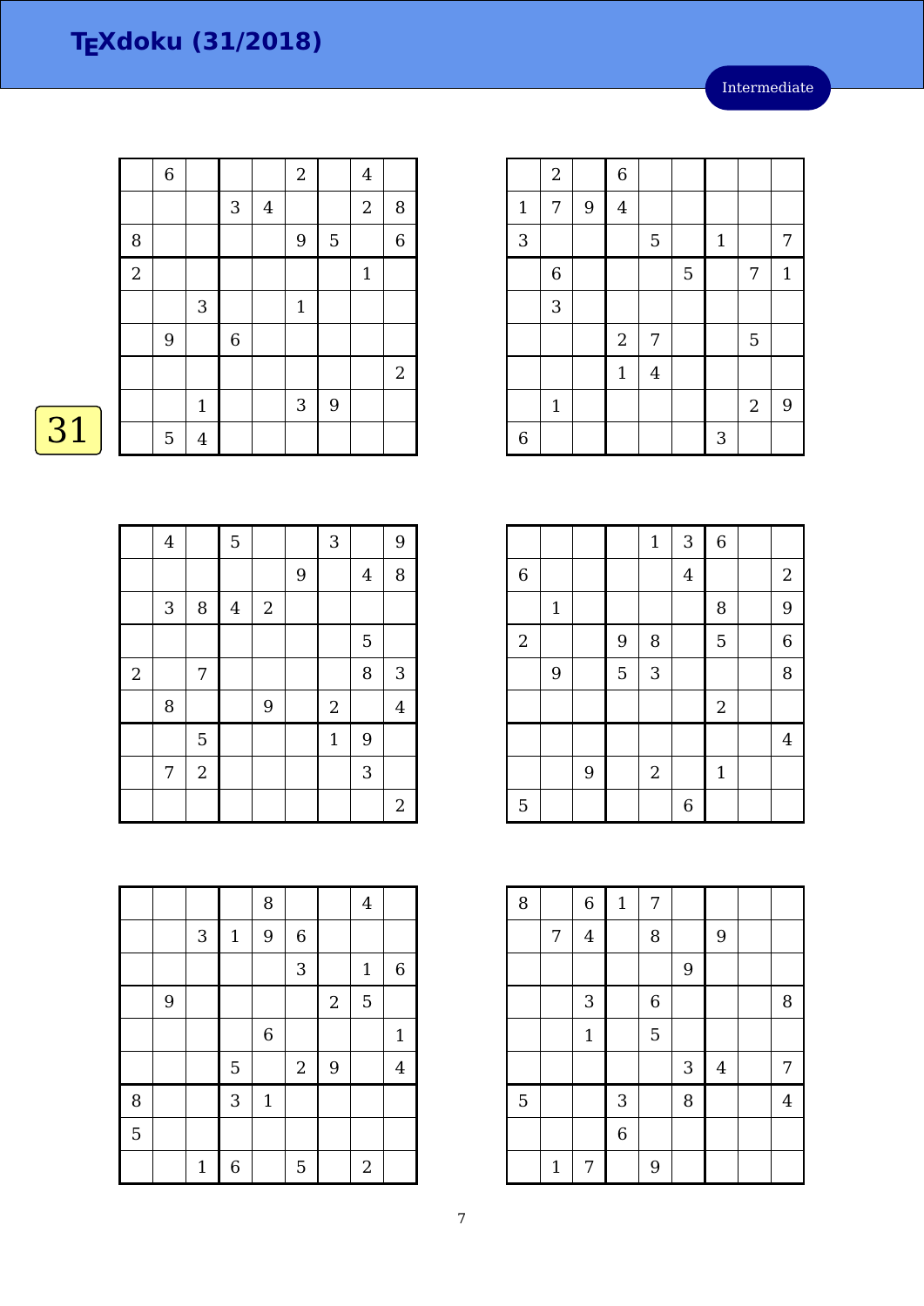|            | $\overline{6}$ |                |                  |                | $\overline{a}$ |   | $\overline{4}$ |                |
|------------|----------------|----------------|------------------|----------------|----------------|---|----------------|----------------|
|            |                |                | 3                | $\overline{4}$ |                |   | $\sqrt{2}$     | $\, 8$         |
| 8          |                |                |                  |                | 9              | 5 |                | $\overline{6}$ |
| $\sqrt{2}$ |                |                |                  |                |                |   | $\mathbf{1}$   |                |
|            |                | 3              |                  |                | $\mathbf{1}$   |   |                |                |
|            | 9              |                | $\boldsymbol{6}$ |                |                |   |                |                |
|            |                |                |                  |                |                |   |                | $\mathbf{2}$   |
|            |                | $\mathbf{1}$   |                  |                | 3              | 9 |                |                |
|            | 5              | $\overline{4}$ |                  |                |                |   |                |                |

# $\overline{31}$

|            | $\overline{\mathbf{4}}$ |                | $\overline{5}$          |            |   | 3              |                | 9              |
|------------|-------------------------|----------------|-------------------------|------------|---|----------------|----------------|----------------|
|            |                         |                |                         |            | 9 |                | $\overline{4}$ | 8              |
|            | $\sqrt{3}$              | 8              | $\overline{\mathbf{4}}$ | $\sqrt{2}$ |   |                |                |                |
|            |                         |                |                         |            |   |                | 5              |                |
| $\sqrt{2}$ |                         | 7              |                         |            |   |                | 8              | 3              |
|            | 8                       |                |                         | 9          |   | $\overline{a}$ |                | $\overline{4}$ |
|            |                         | 5              |                         |            |   | $\mathbf 1$    | 9              |                |
|            | 7                       | $\overline{2}$ |                         |            |   |                | 3              |                |
|            |                         |                |                         |            |   |                |                | $\overline{2}$ |

|                |   |              |             | 8           |             |            | $\overline{4}$ |                |
|----------------|---|--------------|-------------|-------------|-------------|------------|----------------|----------------|
|                |   | 3            | $\mathbf 1$ | 9           | $\,$ 6 $\,$ |            |                |                |
|                |   |              |             |             | 3           |            | $\mathbf{1}$   | $\,$ 6 $\,$    |
|                | 9 |              |             |             |             | $\sqrt{2}$ | 5              |                |
|                |   |              |             | $\,$ 6 $\,$ |             |            |                | $\mathbf{1}$   |
|                |   |              | 5           |             | $\sqrt{2}$  | 9          |                | $\overline{4}$ |
| 8              |   |              | 3           | $\mathbf 1$ |             |            |                |                |
| $\overline{5}$ |   |              |             |             |             |            |                |                |
|                |   | $\mathbf{1}$ | 6           |             | 5           |            | $\overline{2}$ |                |

|                | $\overline{c}$   |   | $\overline{6}$ |                |   |             |                  |              |
|----------------|------------------|---|----------------|----------------|---|-------------|------------------|--------------|
| $\mathbf{1}$   | 7                | 9 | $\bf 4$        |                |   |             |                  |              |
| 3              |                  |   |                | $\mathbf 5$    |   | $\mathbf 1$ |                  | 7            |
|                | $\boldsymbol{6}$ |   |                |                | 5 |             | 7                | $\mathbf{1}$ |
|                | 3                |   |                |                |   |             |                  |              |
|                |                  |   | $\sqrt{2}$     | 7              |   |             | 5                |              |
|                |                  |   | $1\,$          | $\overline{4}$ |   |             |                  |              |
|                | $\mathbf{1}$     |   |                |                |   |             | $\boldsymbol{2}$ | 9            |
| $\overline{6}$ |                  |   |                |                |   | 3           |                  |              |

|                |       |   |   | $\mathbf 1$      | 3              | $\overline{6}$ |                |
|----------------|-------|---|---|------------------|----------------|----------------|----------------|
| $\,$ 6 $\,$    |       |   |   |                  | $\overline{4}$ |                | $\overline{2}$ |
|                | $1\,$ |   |   |                  |                | 8              | 9              |
| $\overline{2}$ |       |   | 9 | 8                |                | 5              | $\overline{6}$ |
|                | 9     |   | 5 | 3                |                |                | 8              |
|                |       |   |   |                  |                | $\sqrt{2}$     |                |
|                |       |   |   |                  |                |                | $\overline{4}$ |
|                |       | 9 |   | $\boldsymbol{2}$ |                | $\mathbf{1}$   |                |
| 5              |       |   |   |                  | 6              |                |                |

| 8              |              | $\overline{6}$ | $\mathbf 1$    | 7              |   |                |                |
|----------------|--------------|----------------|----------------|----------------|---|----------------|----------------|
|                | 7            | $\overline{4}$ |                | 8              |   | 9              |                |
|                |              |                |                |                | 9 |                |                |
|                |              | 3              |                | $\overline{6}$ |   |                | 8              |
|                |              | $\mathbf{1}$   |                | 5              |   |                |                |
|                |              |                |                |                | 3 | $\overline{4}$ | 7              |
| $\overline{5}$ |              |                | $\mathbf{3}$   |                | 8 |                | $\overline{4}$ |
|                |              |                | $\overline{6}$ |                |   |                |                |
|                | $\mathbf{1}$ | 7              |                | 9              |   |                |                |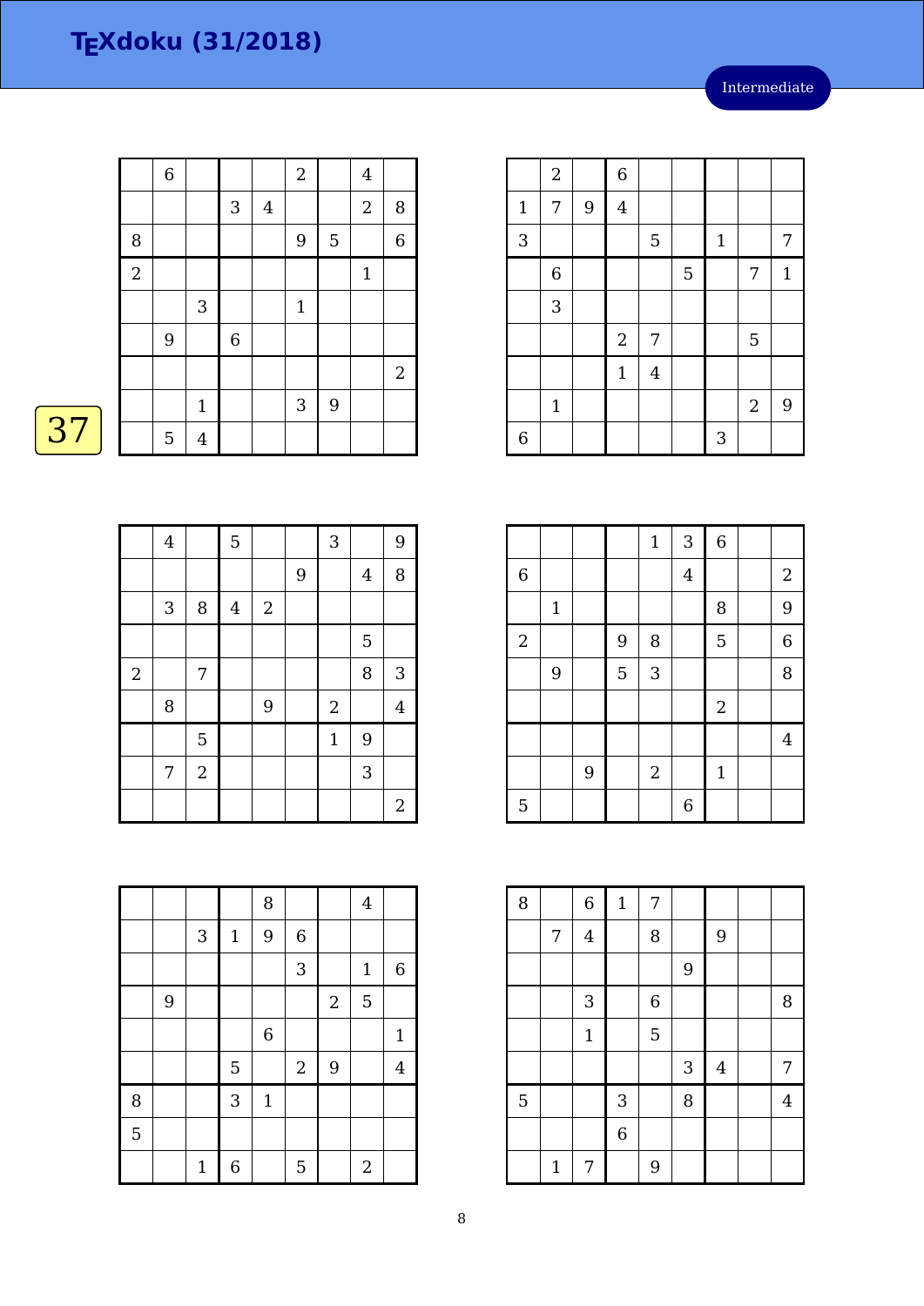|    |                  | $\,$ 6 $\,$ |                |            |                  | $\sqrt{2}$                |   | $\overline{4}$ |              |
|----|------------------|-------------|----------------|------------|------------------|---------------------------|---|----------------|--------------|
|    |                  |             |                | $\sqrt{3}$ | $\boldsymbol{4}$ |                           |   | $\sqrt{2}$     | $\, 8$       |
|    | 8                |             |                |            |                  | 9                         | 5 |                | $\,$ 6 $\,$  |
|    | $\boldsymbol{2}$ |             |                |            |                  |                           |   | $\mathbf{1}$   |              |
|    |                  |             | $\sqrt{3}$     |            |                  | $\mathbf{1}$              |   |                |              |
|    |                  | 9           |                | $\,6$      |                  |                           |   |                |              |
|    |                  |             |                |            |                  |                           |   |                | $\mathbf{2}$ |
|    |                  |             | $\mathbf{1}$   |            |                  | $\ensuremath{\mathsf{3}}$ | 9 |                |              |
| 37 |                  | 5           | $\overline{4}$ |            |                  |                           |   |                |              |

|            | $\bf 4$                   |                | 5              |            |   | 3              |         | $\overline{9}$ |
|------------|---------------------------|----------------|----------------|------------|---|----------------|---------|----------------|
|            |                           |                |                |            | 9 |                | $\bf 4$ | 8              |
|            | $\ensuremath{\mathsf{3}}$ | 8              | $\overline{4}$ | $\sqrt{2}$ |   |                |         |                |
|            |                           |                |                |            |   |                | 5       |                |
| $\sqrt{2}$ |                           | 7              |                |            |   |                | 8       | $\sqrt{3}$     |
|            | 8                         |                |                | 9          |   | $\overline{2}$ |         | $\overline{4}$ |
|            |                           | 5              |                |            |   | $\mathbf{1}$   | 9       |                |
|            | 7                         | $\overline{2}$ |                |            |   |                | 3       |                |
|            |                           |                |                |            |   |                |         | $\sqrt{2}$     |

|                |              |   | $1\,$ | 3              | $\overline{6}$   |                |
|----------------|--------------|---|-------|----------------|------------------|----------------|
| $\,$ 6 $\,$    |              |   |       | $\overline{4}$ |                  | $\overline{2}$ |
|                | $\mathbf{1}$ |   |       |                | 8                | 9              |
| $\overline{2}$ |              | 9 | 8     |                | 5                | 6              |
|                | 9            | 5 | 3     |                |                  | 8              |
|                |              |   |       |                | $\boldsymbol{2}$ |                |
|                |              |   |       |                |                  | 4              |

2 1

5 | | | | | 6

3 | | | | | 5 | | 1 | | 7

 $1 \mid 4$ 

6 | | | | | | | 3

6 | | | | | 5 | | | | 7 | 1

1 | | | | | | 2 | 9

 $2 \mid 7 \mid$   $\mid$  5

 $2 | 6$ 

 $1 \mid 7 \mid 9 \mid 4$ 

| 8 |             | $\overline{6}$ | $\mathbf 1$ | 7                |                |                |                |
|---|-------------|----------------|-------------|------------------|----------------|----------------|----------------|
|   | 7           | $\overline{4}$ |             | 8                |                | $\overline{9}$ |                |
|   |             |                |             |                  | $\overline{9}$ |                |                |
|   |             | 3              |             | $\boldsymbol{6}$ |                |                | 8              |
|   |             | $\mathbf{1}$   |             | 5                |                |                |                |
|   |             |                |             |                  | 3              | $\bf 4$        | 7              |
| 5 |             |                | 3           |                  | 8              |                | $\overline{4}$ |
|   |             |                | $\,$ 6 $\,$ |                  |                |                |                |
|   | $\mathbf 1$ | 7              |             | 9                |                |                |                |

|                |   |              |                | 8           |                  |                | $\overline{4}$   |                |
|----------------|---|--------------|----------------|-------------|------------------|----------------|------------------|----------------|
|                |   | $\sqrt{3}$   | $1\,$          | 9           | $\boldsymbol{6}$ |                |                  |                |
|                |   |              |                |             | 3                |                | $\mathbf{1}$     | $\,$ 6 $\,$    |
|                | 9 |              |                |             |                  | $\overline{2}$ | 5                |                |
|                |   |              |                | $\,$ 6 $\,$ |                  |                |                  | $\mathbf{1}$   |
|                |   |              | $\overline{5}$ |             | $\sqrt{2}$       | 9              |                  | $\overline{4}$ |
| $\, 8$         |   |              | 3              | $\mathbf 1$ |                  |                |                  |                |
| $\overline{5}$ |   |              |                |             |                  |                |                  |                |
|                |   | $\mathbf{1}$ | 6              |             | 5                |                | $\boldsymbol{2}$ |                |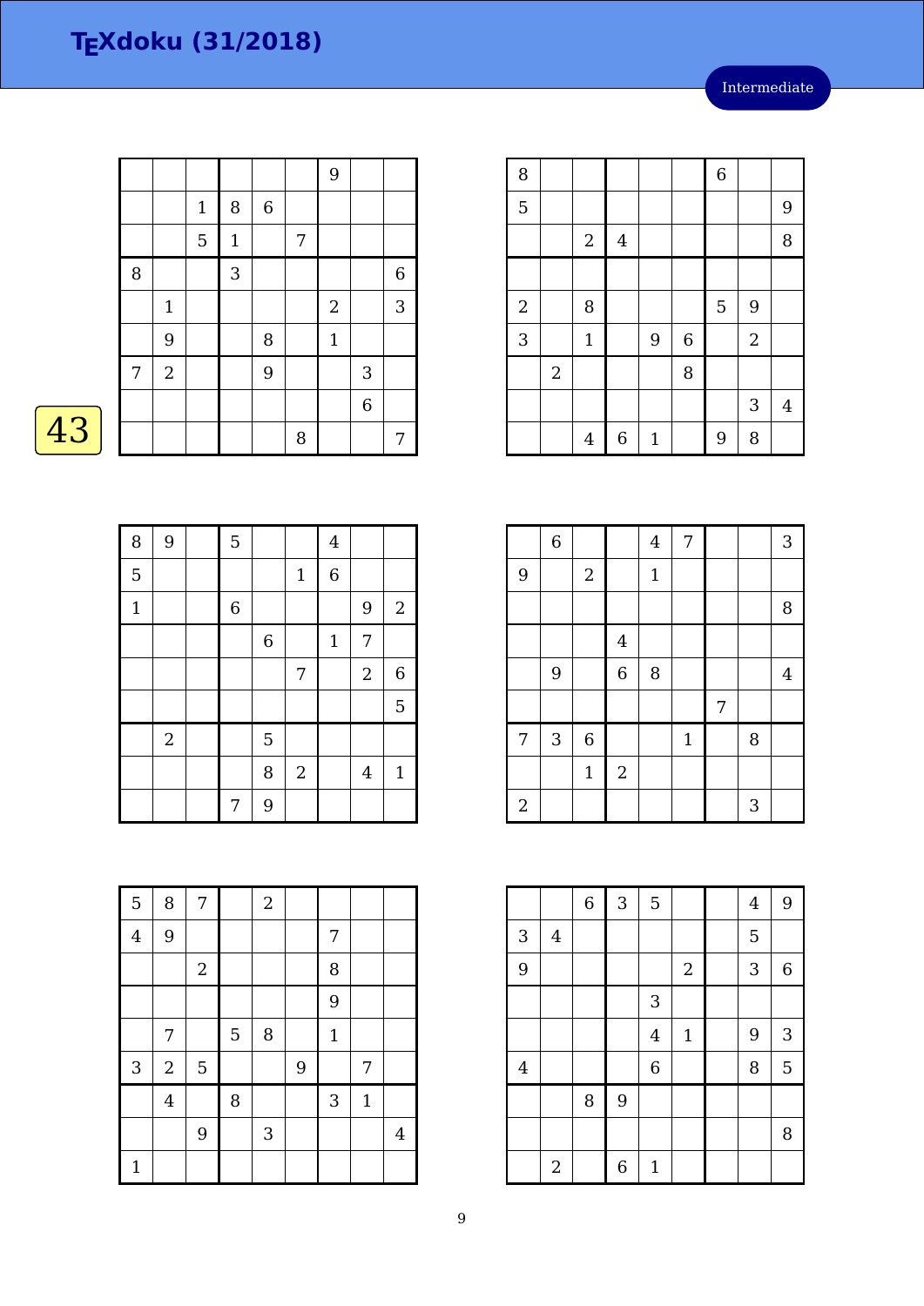|    |   |                |              |              |         |                  | 9              |   |             |
|----|---|----------------|--------------|--------------|---------|------------------|----------------|---|-------------|
|    |   |                | $\mathbf{1}$ | 8            | $\,6\,$ |                  |                |   |             |
|    |   |                | $\mathbf 5$  | $\mathbf{1}$ |         | $\boldsymbol{7}$ |                |   |             |
|    | 8 |                |              | 3            |         |                  |                |   | $\,$ 6 $\,$ |
|    |   | $\mathbf{1}$   |              |              |         |                  | $\overline{2}$ |   | 3           |
|    |   | 9              |              |              | 8       |                  | $\mathbf{1}$   |   |             |
|    | 7 | $\overline{2}$ |              |              | 9       |                  |                | 3 |             |
|    |   |                |              |              |         |                  |                | 6 |             |
| 43 |   |                |              |              |         | 8                |                |   | 7           |

| Λ |  |
|---|--|
|   |  |

| 8            | 9              | 5                |                |                | $\overline{\mathbf{4}}$ |                  |                  |
|--------------|----------------|------------------|----------------|----------------|-------------------------|------------------|------------------|
| 5            |                |                  |                | $\mathbf{1}$   | $\overline{6}$          |                  |                  |
| $\mathbf{1}$ |                | $\boldsymbol{6}$ |                |                |                         | 9                | $\overline{2}$   |
|              |                |                  | $\overline{6}$ |                | $\mathbf{1}$            | 7                |                  |
|              |                |                  |                | 7              |                         | $\boldsymbol{2}$ | $\boldsymbol{6}$ |
|              |                |                  |                |                |                         |                  | 5                |
|              | $\overline{2}$ |                  | 5              |                |                         |                  |                  |
|              |                |                  | 8              | $\overline{2}$ |                         | $\overline{4}$   | $\mathbf{1}$     |
|              |                | 7                | 9              |                |                         |                  |                  |

| 5                         | 8                | 7          |   | $\sqrt{2}$ |   |              |              |                |
|---------------------------|------------------|------------|---|------------|---|--------------|--------------|----------------|
| $\overline{4}$            | 9                |            |   |            |   | 7            |              |                |
|                           |                  | $\sqrt{2}$ |   |            |   | 8            |              |                |
|                           |                  |            |   |            |   | 9            |              |                |
|                           | 7                |            | 5 | 8          |   | $\mathbf{1}$ |              |                |
| $\ensuremath{\mathsf{3}}$ | $\boldsymbol{2}$ | 5          |   |            | 9 |              | 7            |                |
|                           | $\overline{4}$   |            | 8 |            |   | 3            | $\mathbf{1}$ |                |
|                           |                  | 9          |   | $\sqrt{3}$ |   |              |              | $\overline{4}$ |
| $\mathbf{1}$              |                  |            |   |            |   |              |              |                |

| 8              |            |                |                |              |             | $\overline{6}$ |                |                |
|----------------|------------|----------------|----------------|--------------|-------------|----------------|----------------|----------------|
| 5              |            |                |                |              |             |                |                | 9              |
|                |            | $\overline{c}$ | $\overline{4}$ |              |             |                |                | 8              |
|                |            |                |                |              |             |                |                |                |
| $\overline{2}$ |            | 8              |                |              |             | 5              | 9              |                |
| 3              |            | $\mathbf{1}$   |                | 9            | $\,$ 6 $\,$ |                | $\overline{2}$ |                |
|                | $\sqrt{2}$ |                |                |              | 8           |                |                |                |
|                |            |                |                |              |             |                | 3              | $\overline{4}$ |
|                |            | $\overline{4}$ | $\overline{6}$ | $\mathbf{1}$ |             | 9              | 8              |                |

|                | $\overline{6}$ |                |                | $\overline{4}$ | 7            |   |   | 3              |
|----------------|----------------|----------------|----------------|----------------|--------------|---|---|----------------|
| 9              |                | $\sqrt{2}$     |                | $\mathbf{1}$   |              |   |   |                |
|                |                |                |                |                |              |   |   | $\, 8$         |
|                |                |                | $\bf 4$        |                |              |   |   |                |
|                | 9              |                | $\overline{6}$ | 8              |              |   |   | $\overline{4}$ |
|                |                |                |                |                |              | 7 |   |                |
| $\overline{7}$ | $\sqrt{3}$     | $\overline{6}$ |                |                | $\mathbf{1}$ |   | 8 |                |
|                |                | $\mathbf{1}$   | $\sqrt{2}$     |                |              |   |   |                |
| $\sqrt{2}$     |                |                |                |                |              |   | 3 |                |

|                |                | $\overline{6}$ | $\overline{3}$   | 5              |                  | $\overline{4}$ | 9           |
|----------------|----------------|----------------|------------------|----------------|------------------|----------------|-------------|
| 3              | $\overline{4}$ |                |                  |                |                  | 5              |             |
| 9              |                |                |                  |                | $\boldsymbol{2}$ | 3              | $\,$ 6 $\,$ |
|                |                |                |                  | 3              |                  |                |             |
|                |                |                |                  | $\overline{4}$ | $\mathbf 1$      | 9              | 3           |
| $\overline{4}$ |                |                |                  | $\overline{6}$ |                  | 8              | 5           |
|                |                | 8              | 9                |                |                  |                |             |
|                |                |                |                  |                |                  |                | 8           |
|                | $\overline{2}$ |                | $\boldsymbol{6}$ | $\mathbf{1}$   |                  |                |             |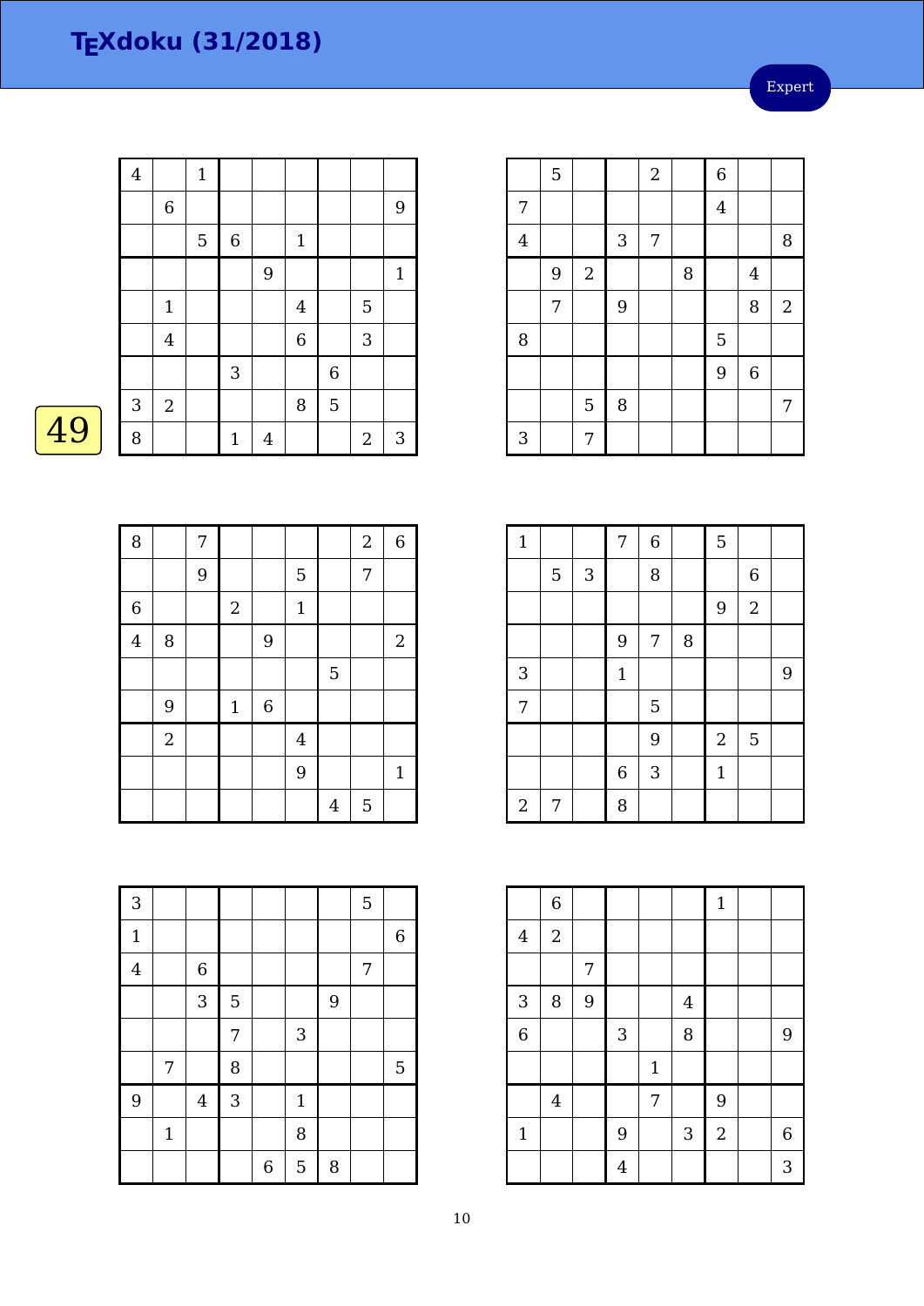Expert

|    | $\overline{\mathbf{4}}$ |                         | $\mathbf{1}$ |              |                |                |   |                  |            |
|----|-------------------------|-------------------------|--------------|--------------|----------------|----------------|---|------------------|------------|
|    |                         | $\,$ 6 $\,$             |              |              |                |                |   |                  | 9          |
|    |                         |                         | 5            | 6            |                | $\mathbf{1}$   |   |                  |            |
|    |                         |                         |              |              | $9$            |                |   |                  | $1\,$      |
|    |                         | $\mathbf{1}$            |              |              |                | 4              |   | $\overline{5}$   |            |
|    |                         | $\overline{\mathbf{4}}$ |              |              |                | $\overline{6}$ |   | $\sqrt{3}$       |            |
|    |                         |                         |              | 3            |                |                | 6 |                  |            |
|    | $\sqrt{3}$              | $\overline{2}$          |              |              |                | 8              | 5 |                  |            |
| 49 | 8                       |                         |              | $\mathbf{1}$ | $\overline{4}$ |                |   | $\boldsymbol{2}$ | $\sqrt{3}$ |

|                         | 5 |                |            | $\overline{2}$ |   | $\overline{6}$ |                  |                |
|-------------------------|---|----------------|------------|----------------|---|----------------|------------------|----------------|
| 7                       |   |                |            |                |   | $\overline{4}$ |                  |                |
| $\overline{\mathbf{4}}$ |   |                | $\sqrt{3}$ | 7              |   |                |                  | 8              |
|                         | 9 | $\overline{2}$ |            |                | 8 |                | $\overline{4}$   |                |
|                         | 7 |                | 9          |                |   |                | 8                | $\overline{2}$ |
| 8                       |   |                |            |                |   | $\overline{5}$ |                  |                |
|                         |   |                |            |                |   | 9              | $\boldsymbol{6}$ |                |
|                         |   | 5              | 8          |                |   |                |                  | 7              |
| 3                       |   | 7              |            |                |   |                |                  |                |

| 8              |                | $\boldsymbol{7}$ |             |             |                |                | $\overline{2}$ | $\,6$          |
|----------------|----------------|------------------|-------------|-------------|----------------|----------------|----------------|----------------|
|                |                | 9                |             |             | 5              |                | $\overline{7}$ |                |
| $\overline{6}$ |                |                  | $\sqrt{2}$  |             | $1\,$          |                |                |                |
| $\overline{4}$ | 8              |                  |             | 9           |                |                |                | $\overline{2}$ |
|                |                |                  |             |             |                | 5              |                |                |
|                | 9              |                  | $\mathbf 1$ | $\,$ 6 $\,$ |                |                |                |                |
|                | $\overline{2}$ |                  |             |             | $\overline{4}$ |                |                |                |
|                |                |                  |             |             | 9              |                |                | $\mathbf{1}$   |
|                |                |                  |             |             |                | $\overline{4}$ | 5              |                |

| $\mathbf{1}$   |                |            | 7           | $\overline{6}$ |   | 5              |                  |   |
|----------------|----------------|------------|-------------|----------------|---|----------------|------------------|---|
|                | $\overline{5}$ | $\sqrt{3}$ |             | 8              |   |                | $\boldsymbol{6}$ |   |
|                |                |            |             |                |   | 9              | $\overline{2}$   |   |
|                |                |            | 9           | 7              | 8 |                |                  |   |
| 3              |                |            | $\mathbf 1$ |                |   |                |                  | 9 |
| 7              |                |            |             | 5              |   |                |                  |   |
|                |                |            |             | 9              |   | $\overline{2}$ | 5                |   |
|                |                |            | $\,$ 6 $\,$ | 3              |   | $\mathbf{1}$   |                  |   |
| $\overline{2}$ | 7              |            | 8           |                |   |                |                  |   |

|                | $\,$ 6 $\,$ |   |                |       |                | $\mathbf{1}$   |                  |
|----------------|-------------|---|----------------|-------|----------------|----------------|------------------|
| $\bf 4$        | $\sqrt{2}$  |   |                |       |                |                |                  |
|                |             | 7 |                |       |                |                |                  |
| $\overline{3}$ | 8           | 9 |                |       | $\overline{4}$ |                |                  |
| $\overline{6}$ |             |   | 3              |       | 8              |                | 9                |
|                |             |   |                | $1\,$ |                |                |                  |
|                | $\bf 4$     |   |                | 7     |                | 9              |                  |
| $\mathbf 1$    |             |   | 9              |       | 3              | $\overline{2}$ | $\boldsymbol{6}$ |
|                |             |   | $\overline{4}$ |       |                |                | 3                |

| 3              |             |                |            |                  |              |   | 5 |             |
|----------------|-------------|----------------|------------|------------------|--------------|---|---|-------------|
| $\mathbf{1}$   |             |                |            |                  |              |   |   | $\,$ 6 $\,$ |
| $\overline{4}$ |             | $\,$ 6 $\,$    |            |                  |              |   | 7 |             |
|                |             | 3              | 5          |                  |              | 9 |   |             |
|                |             |                | 7          |                  | 3            |   |   |             |
|                | 7           |                | 8          |                  |              |   |   | $\mathbf 5$ |
| $\overline{9}$ |             | $\overline{4}$ | $\sqrt{3}$ |                  | $\mathbf{1}$ |   |   |             |
|                | $\mathbf 1$ |                |            |                  | 8            |   |   |             |
|                |             |                |            | $\boldsymbol{6}$ | 5            | 8 |   |             |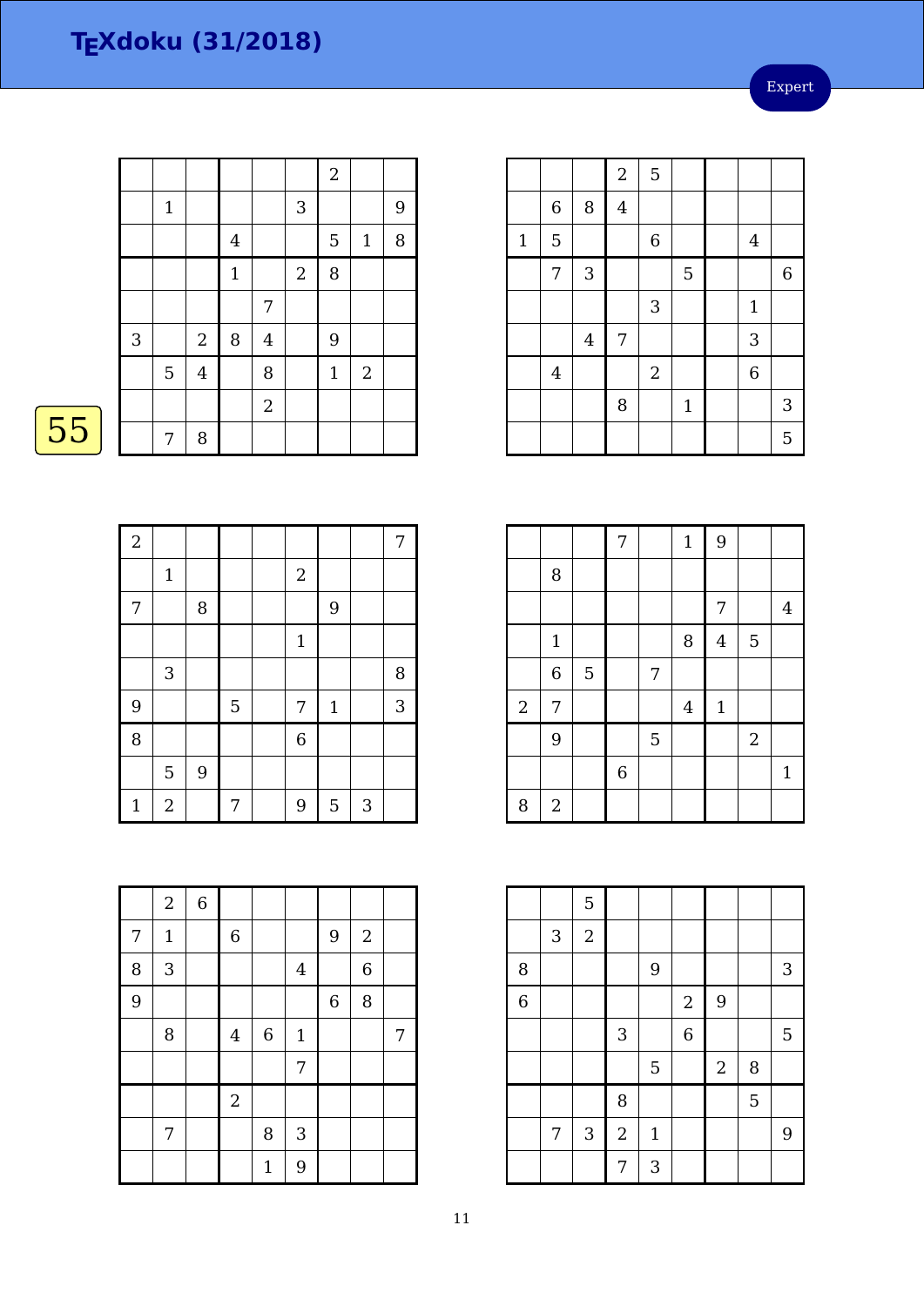Expert

|              |             |                  |              |                         |                | $\sqrt{2}$   |              |   |
|--------------|-------------|------------------|--------------|-------------------------|----------------|--------------|--------------|---|
|              | $\mathbf 1$ |                  |              |                         | 3              |              |              | 9 |
|              |             |                  | $\bf 4$      |                         |                | 5            | $\mathbf{1}$ | 8 |
|              |             |                  | $\mathbf{1}$ |                         | $\overline{2}$ | 8            |              |   |
|              |             |                  |              | 7                       |                |              |              |   |
| $\mathbf{3}$ |             | $\boldsymbol{2}$ | 8            | $\overline{\mathbf{4}}$ |                | 9            |              |   |
|              | 5           | $\overline{4}$   |              | 8                       |                | $\mathbf{1}$ | $\sqrt{2}$   |   |
|              |             |                  |              | $\overline{2}$          |                |              |              |   |
|              | 7           | 8                |              |                         |                |              |              |   |

 $\boxed{55}$ 

| $\overline{a}$ |                  |   |   |                |              |   | 7 |
|----------------|------------------|---|---|----------------|--------------|---|---|
|                | $1\,$            |   |   | $\sqrt{2}$     |              |   |   |
| 7              |                  | 8 |   |                | 9            |   |   |
|                |                  |   |   | $\mathbf{1}$   |              |   |   |
|                | 3                |   |   |                |              |   | 8 |
| 9              |                  |   | 5 | 7              | $\mathbf{1}$ |   | 3 |
| 8              |                  |   |   | $\overline{6}$ |              |   |   |
|                | 5                | 9 |   |                |              |   |   |
| $\mathbf{1}$   | $\boldsymbol{2}$ |   | 7 | 9              | 5            | 3 |   |

|   | $\boldsymbol{2}$ | $\,6\,$ |                |                  |                |             |                |   |
|---|------------------|---------|----------------|------------------|----------------|-------------|----------------|---|
| 7 | $\mathbf{1}$     |         | $\,$ 6 $\,$    |                  |                | 9           | $\sqrt{2}$     |   |
| 8 | $\overline{3}$   |         |                |                  | $\overline{4}$ |             | $\overline{6}$ |   |
| 9 |                  |         |                |                  |                | $\,$ 6 $\,$ | 8              |   |
|   | 8                |         | $\overline{4}$ | $\boldsymbol{6}$ | $\mathbf{1}$   |             |                | 7 |
|   |                  |         |                |                  | 7              |             |                |   |
|   |                  |         | $\overline{a}$ |                  |                |             |                |   |
|   | 7                |         |                | 8                | 3              |             |                |   |
|   |                  |         |                | $\mathbf{1}$     | 9              |             |                |   |

|       |                |         | $\sqrt{2}$     | 5           |              |                |                |
|-------|----------------|---------|----------------|-------------|--------------|----------------|----------------|
|       | $\,$ 6 $\,$    | 8       | $\overline{4}$ |             |              |                |                |
| $1\,$ | 5              |         |                | $\,$ 6 $\,$ |              | $\overline{4}$ |                |
|       | 7              | 3       |                |             | 5            |                | $\overline{6}$ |
|       |                |         |                | $\sqrt{3}$  |              | $\mathbf{1}$   |                |
|       |                | $\bf 4$ | $\overline{7}$ |             |              | 3              |                |
|       | $\overline{4}$ |         |                | $\sqrt{2}$  |              | $\overline{6}$ |                |
|       |                |         | 8              |             | $\mathbf{1}$ |                | 3              |
|       |                |         |                |             |              |                | 5              |

|                |            |                | 7              |   | $\mathbf{1}$ | 9              |                |                |
|----------------|------------|----------------|----------------|---|--------------|----------------|----------------|----------------|
|                | 8          |                |                |   |              |                |                |                |
|                |            |                |                |   |              | 7              |                | $\overline{4}$ |
|                | $1\,$      |                |                |   | 8            | $\overline{4}$ | 5              |                |
|                | 6          | $\overline{5}$ |                | 7 |              |                |                |                |
| $\overline{2}$ | 7          |                |                |   | $\bf 4$      | $\mathbf 1$    |                |                |
|                | 9          |                |                | 5 |              |                | $\overline{2}$ |                |
|                |            |                | $\overline{6}$ |   |              |                |                | $\mathbf{1}$   |
| 8              | $\sqrt{2}$ |                |                |   |              |                |                |                |

|                |   | $\overline{5}$ |            |              |                  |            |   |   |
|----------------|---|----------------|------------|--------------|------------------|------------|---|---|
|                | 3 | $\sqrt{2}$     |            |              |                  |            |   |   |
| 8              |   |                |            | 9            |                  |            |   | 3 |
| $\overline{6}$ |   |                |            |              | $\boldsymbol{2}$ | 9          |   |   |
|                |   |                | $\sqrt{3}$ |              | $\overline{6}$   |            |   | 5 |
|                |   |                |            | 5            |                  | $\sqrt{2}$ | 8 |   |
|                |   |                | 8          |              |                  |            | 5 |   |
|                | 7 | 3              | $\sqrt{2}$ | $\mathbf{1}$ |                  |            |   | 9 |
|                |   |                | 7          | 3            |                  |            |   |   |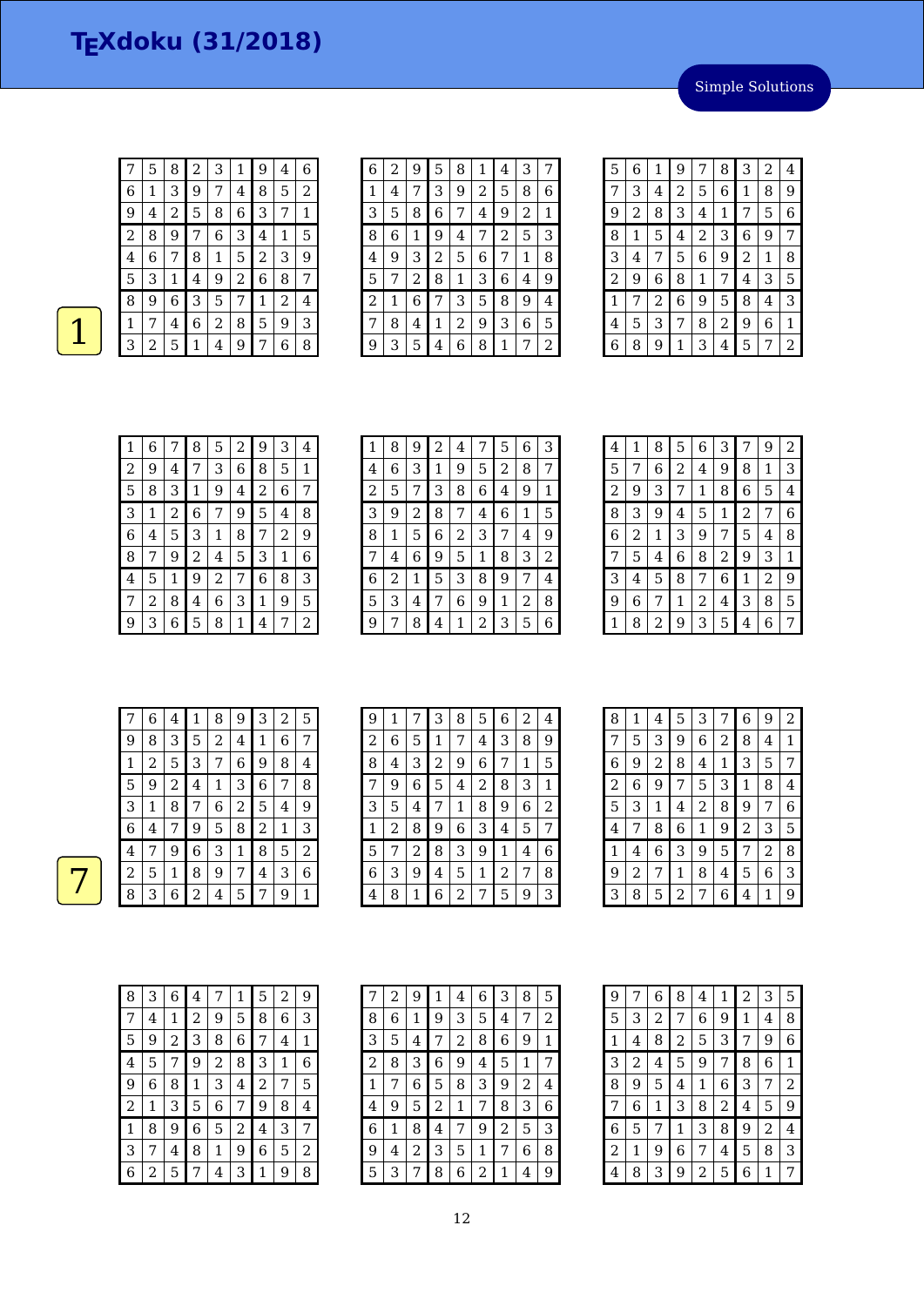|                | 5 | 8 | 2 | З | 1              | 9              | 4 | 6 |
|----------------|---|---|---|---|----------------|----------------|---|---|
| 6              | 1 | 3 | 9 | 7 | 4              | 8              | 5 | 2 |
| 9              | 4 | 2 | 5 | 8 | 6              | 3              | 7 | 1 |
| $\overline{2}$ | 8 | 9 | 7 | 6 | 3              | 4              | 1 | 5 |
| 4              | 6 | 7 | 8 | 1 | 5              | $\overline{2}$ | 3 | 9 |
| 5              | 3 | 1 | 4 | 9 | $\overline{c}$ | 6              | 8 | 7 |
| 8              | 9 | 6 | 3 | 5 | 7              | 1              | 2 | 4 |
| 1              | 7 | 4 | 6 | 2 | 8              | 5              | 9 | 3 |
| З              | 2 | 5 | 1 | 4 | 9              | 7              | 6 | 8 |
|                |   |   |   |   |                |                |   |   |

| 6           | 2 | 9 | 5 | 8 | 1 | $\overline{\mathbf{4}}$ | З |   |
|-------------|---|---|---|---|---|-------------------------|---|---|
| $\mathbf 1$ | 4 |   | 3 | 9 | 2 | 5                       | 8 | 6 |
| 3           | 5 | 8 | 6 | 7 | 4 | 9                       | 2 | 1 |
| 8           | 6 | 1 | 9 | 4 | 7 | $\overline{c}$          | 5 | З |
| 4           | 9 | З | 2 | 5 | 6 | 7                       | 1 | 8 |
| 5           | 7 | 2 | 8 | 1 | З | 6                       | 4 | 9 |
| 2           | 1 | 6 | 7 | 3 | 5 | 8                       | 9 | 4 |
| 7           | 8 | 4 | 1 | 2 | 9 | 3                       | 6 | 5 |
| 9           | З | 5 | 4 | 6 | 8 | 1                       |   | 2 |

| 5              | 6 | 1              | 9 | 7 | 8              | З              | 2 | 4              |
|----------------|---|----------------|---|---|----------------|----------------|---|----------------|
| 7              | 3 | 4              | 2 | 5 | 6              | 1              | 8 | 9              |
| 9              | 2 | 8              | 3 | 4 | 1              | 7              | 5 | 6              |
| 8              | 1 | 5              | 4 | 2 | 3              | 6              | 9 | 7              |
| 3              | 4 | 7              | 5 | 6 | 9              | $\overline{c}$ | 1 | 8              |
| $\overline{2}$ | 9 | 6              | 8 | 1 | 7              | 4              | 3 | 5              |
| $\mathbf{1}$   | 7 | $\overline{2}$ | 6 | 9 | 5              | 8              | 4 | 3              |
| 4              | 5 | 3              | 7 | 8 | $\overline{2}$ | 9              | 6 | 1              |
| 6              | 8 | 9              | 1 | 3 | 4              | 5              | 7 | $\overline{2}$ |

| 1 | 6 | 7 | 8 | 5 | 2 | 9 | 3 | 4 |
|---|---|---|---|---|---|---|---|---|
| 2 | 9 | 4 | 7 | 3 | 6 | 8 | 5 | 1 |
| 5 | 8 | 3 | 1 | 9 | 4 | 2 | 6 | 7 |
| 3 | 1 | 2 | 6 | 7 | 9 | 5 | 4 | 8 |
| 6 | 4 | 5 | 3 | 1 | 8 | 7 | 2 | 9 |
| 8 | 7 | 9 | 2 | 4 | 5 | 3 | 1 | 6 |
| 4 | 5 | 1 | 9 | 2 | 7 | 6 | 8 | 3 |
| 7 | 2 | 8 | 4 | 6 | 3 | 1 | 9 | 5 |
| g | 3 | 6 | 5 | 8 | 1 | 4 | 7 | 2 |

| 1 | 8 | 9 | 2 | 4 | 7 | 5 | 6 | З |
|---|---|---|---|---|---|---|---|---|
| 4 | 6 | З | 1 | 9 | 5 | 2 | 8 | 7 |
| 2 | 5 | 7 | З | 8 | 6 | 4 | 9 | 1 |
| 3 | 9 | 2 | 8 | 7 | 4 | 6 | 1 | 5 |
| 8 | 1 | 5 | 6 | 2 | З | 7 | 4 | 9 |
| 7 | 4 | 6 | 9 | 5 | 1 | 8 | 3 | 2 |
| 6 | 2 | 1 | 5 | 3 | 8 | 9 | 7 | 4 |
| 5 | 3 | 4 | 7 | 6 | 9 | 1 | 2 | 8 |
| g | 7 | 8 | 4 | 1 | 2 | 3 | 5 | 6 |

| 8<br>6<br>3<br>5<br>9<br>1<br>7<br>4<br>5<br>8<br>6<br>2<br>9<br>1<br>7<br>4<br>$\sqrt{2}$<br>1<br>8<br>5<br>З<br>6<br>7<br>9 | 2<br>3 |
|-------------------------------------------------------------------------------------------------------------------------------|--------|
|                                                                                                                               |        |
|                                                                                                                               |        |
|                                                                                                                               | 4      |
| 8<br>3<br>5<br>9<br>2<br>1<br>7<br>4                                                                                          | 6      |
| 6<br>$\overline{2}$<br>3<br>1<br>5<br>9<br>7<br>4                                                                             | 8      |
| 3<br>7<br>5<br>8<br>2<br>9<br>6<br>4                                                                                          | 1      |
| 3<br>5<br>8<br>2<br>6<br>1<br>4<br>7                                                                                          | 9      |
| 9<br>8<br>6<br>3<br>7<br>1<br>2<br>4                                                                                          | 5      |
| 2<br>3<br>5<br>6<br>8<br>9<br>1<br>7<br>4                                                                                     |        |

|   | 6 | 4 | 1 | 8              | 9 | 3 | 2 | 5 |
|---|---|---|---|----------------|---|---|---|---|
| 9 | 8 | 3 | 5 | $\overline{a}$ | 4 | 1 | 6 | 7 |
| 1 | 2 | 5 | 3 | 7              | 6 | 9 | 8 | 4 |
| 5 | 9 | 2 | 4 | 1              | 3 | 6 | 7 | 8 |
| 3 | 1 | 8 | 7 | 6              | 2 | 5 | 4 | 9 |
| 6 | 4 | 7 | 9 | 5              | 8 | 2 | 1 | 3 |
| 4 | 7 | 9 | 6 | 3              | 1 | 8 | 5 | 2 |
| 2 | 5 | 1 | 8 | 9              | 7 | 4 | 3 | 6 |
| 8 | 3 | 6 | 2 | 4              | 5 | 7 | 9 | 1 |

| 9 | 1 | 7 | 3              | 8              | 5 | 6 | 2 | 4 |
|---|---|---|----------------|----------------|---|---|---|---|
| 2 | 6 | 5 | 1              | 7              | 4 | 3 | 8 | 9 |
| 8 | 4 | 3 | $\overline{c}$ | 9              | 6 | 7 | 1 | 5 |
|   | 9 | 6 | 5              | 4              | 2 | 8 | 3 | 1 |
| З | 5 | 4 | 7              | 1              | 8 | 9 | 6 | 2 |
| 1 | 2 | 8 | 9              | 6              | 3 | 4 | 5 | 7 |
| 5 | 7 | 2 | 8              | 3              | 9 | 1 | 4 | 6 |
| 6 | З | 9 | 4              | 5              | 1 | 2 |   | 8 |
| 4 | 8 | 1 | 6              | $\overline{2}$ | 7 | 5 | 9 | 3 |

| 8 | 1 | 4              | 5              | 3 | 7 | 6            | 9              | 2 |
|---|---|----------------|----------------|---|---|--------------|----------------|---|
| 7 | 5 | 3              | 9              | 6 | 2 | 8            | 4              | 1 |
| 6 | 9 | $\overline{c}$ | 8              | 4 | 1 | 3            | 5              | 7 |
| 2 | 6 | 9              | 7              | 5 | 3 | $\mathbf{1}$ | 8              | 4 |
| 5 | 3 | 1              | 4              | 2 | 8 | 9            | 7              | 6 |
| 4 | 7 | 8              | 6              | 1 | 9 | 2            | 3              | 5 |
| 1 | 4 | 6              | 3              | 9 | 5 | 7            | $\overline{2}$ | 8 |
| 9 | 2 | 7              | 1              | 8 | 4 | 5            | 6              | 3 |
| 3 | 8 | 5              | $\overline{a}$ | 7 | 6 | 4            | 1              | 9 |

| 8              | З | 6 | 4 | 7              | 1 | 5 | 2 | 9 |
|----------------|---|---|---|----------------|---|---|---|---|
| 7              | 4 | 1 | 2 | 9              | 5 | 8 | 6 | 3 |
| 5              | 9 | 2 | З | 8              | 6 | 7 | 4 | 1 |
| 4              | 5 | 7 | 9 | $\overline{c}$ | 8 | 3 | 1 | 6 |
| 9              | 6 | 8 | 1 | 3              | 4 | 2 | 7 | 5 |
| $\overline{c}$ | 1 | 3 | 5 | 6              | 7 | 9 | 8 | 4 |
| 1              | 8 | 9 | 6 | 5              | 2 | 4 | 3 | 7 |
| 3              | 7 | 4 | 8 | 1              | 9 | 6 | 5 | 2 |
| 6              | 2 | 5 |   | 4              | 3 | 1 | 9 | 8 |

| 7 | 2 | 9 | 1 | 4 | 6 | 3              | 8 | 5 |
|---|---|---|---|---|---|----------------|---|---|
| 8 | 6 | 1 | 9 | 3 | 5 | 4              | 7 | 2 |
| 3 | 5 | 4 | 7 | 2 | 8 | 6              | 9 | 1 |
| 2 | 8 | З | 6 | 9 | 4 | 5              | 1 | 7 |
| 1 | 7 | 6 | 5 | 8 | З | 9              | 2 | 4 |
| 4 | 9 | 5 | 2 | 1 | 7 | 8              | З | 6 |
| 6 | 1 | 8 | 4 | 7 | 9 | $\overline{c}$ | 5 | З |
| 9 | 4 | 2 | З | 5 | 1 | 7              | 6 | 8 |
| 5 | 3 | 7 | 8 | 6 | 2 | 1              | 4 | 9 |

| 9 | 7 | 6 | 8 | 4 | 1 | $\overline{c}$ | 3 | 5 |
|---|---|---|---|---|---|----------------|---|---|
| 5 | 3 | 2 | 7 | 6 | 9 | 1              | 4 | 8 |
| 1 | 4 | 8 | 2 | 5 | 3 | 7              | 9 | 6 |
| 3 | 2 | 4 | 5 | 9 | 7 | 8              | 6 | 1 |
| 8 | 9 | 5 | 4 | 1 | 6 | 3              | 7 | 2 |
| 7 | 6 | 1 | 3 | 8 | 2 | 4              | 5 | 9 |
| 6 | 5 | 7 | 1 | 3 | 8 | 9              | 2 | 4 |
| 2 | 1 | 9 | 6 | 7 | 4 | 5              | 8 | 3 |
| 4 | 8 | З | 9 | 2 | 5 | 6              | 1 | 7 |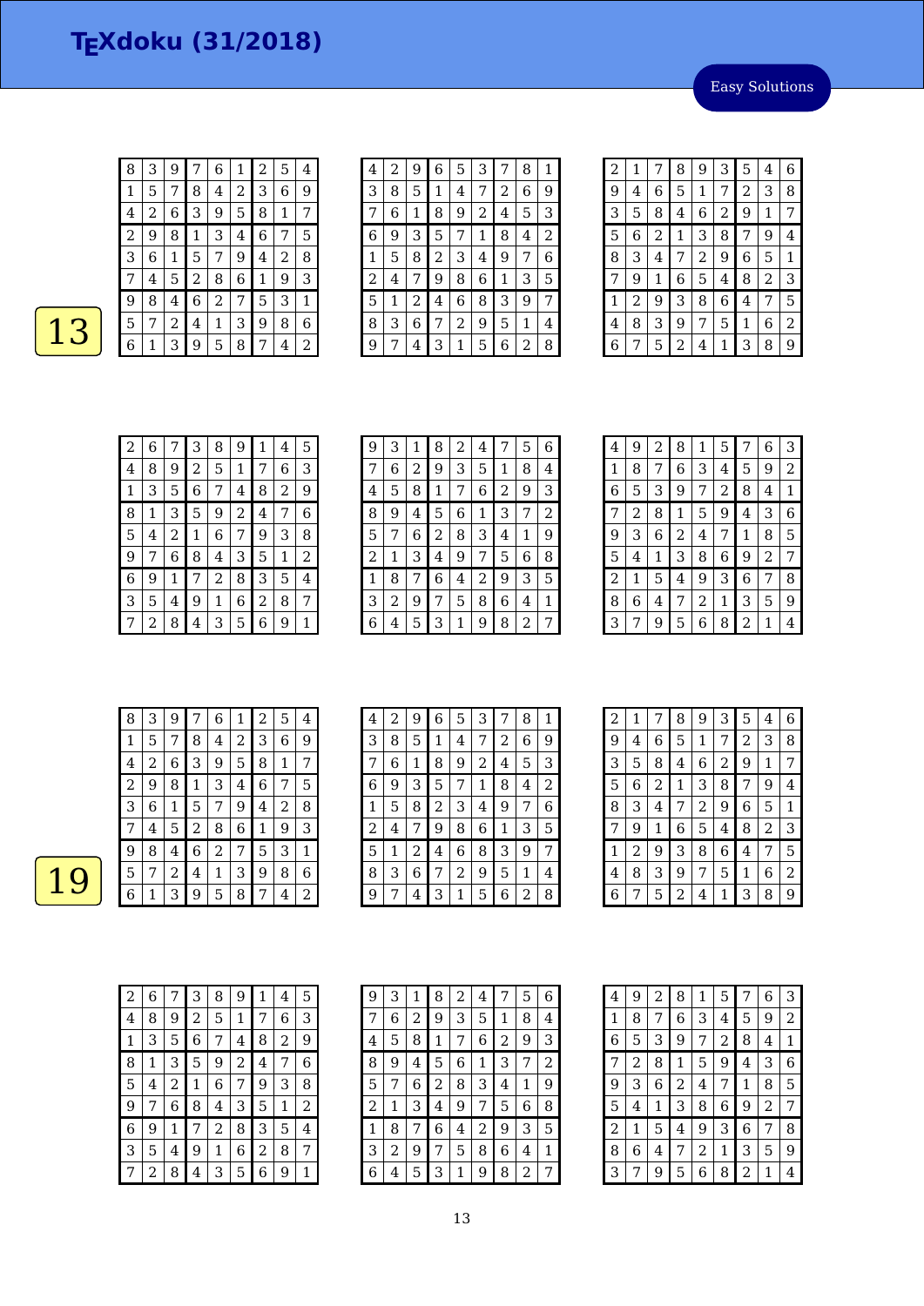Easy Solutions

| ۹ |
|---|
|   |

| 8 | 3 | 9              |   | 6              | 1 | $\overline{\mathbf{c}}$ | 5 | 4 |
|---|---|----------------|---|----------------|---|-------------------------|---|---|
| 1 | 5 | 7              | 8 | 4              | 2 | 3                       | 6 | 9 |
| 4 | 2 | 6              | 3 | 9              | 5 | 8                       | 1 | 7 |
| 2 | 9 | 8              | 1 | 3              | 4 | 6                       | 7 | 5 |
| З | 6 | 1              | 5 | 7              | 9 | 4                       | 2 | 8 |
|   | 4 | 5              | 2 | 8              | 6 | 1                       | 9 | 3 |
| 9 | 8 | 4              | 6 | $\overline{2}$ | 7 | 5                       | 3 | 1 |
| 5 | 7 | $\overline{2}$ | 4 | 1              | 3 | 9                       | 8 | 6 |
| 6 | 1 | 3              | 9 | 5              | 8 | 7                       | 4 | 2 |

| 2 | 9 | 6 | 5 | З | 7 | 8 | 1 |
|---|---|---|---|---|---|---|---|
| 8 | 5 | 1 | 4 | 7 | 2 | 6 | 9 |
| 6 | 1 | 8 | 9 | 2 | 4 | 5 | 3 |
| 9 | З | 5 | 7 | 1 | 8 | 4 | 2 |
| 5 | 8 | 2 | 3 | 4 | 9 | 7 | 6 |
| 4 | 7 | 9 | 8 | 6 | 1 | 3 | 5 |
| 1 | 2 | 4 | 6 | 8 | 3 | 9 | 7 |
| 3 | 6 | 7 | 2 | 9 | 5 | 1 | 4 |
|   | 4 | 3 | 1 | 5 | 6 | 2 | 8 |
|   |   |   |   |   |   |   |   |

| 2 | 1 | 7 | 8 | 9              | 3              | 5              | 4 | 6 |
|---|---|---|---|----------------|----------------|----------------|---|---|
| 9 | 4 | 6 | 5 | 1              | 7              | $\overline{2}$ | 3 | 8 |
| 3 | 5 | 8 | 4 | 6              | $\overline{c}$ | 9              | 1 | 7 |
| 5 | 6 | 2 | 1 | 3              | 8              | 7              | 9 | 4 |
| 8 | З | 4 | 7 | $\overline{c}$ | 9              | 6              | 5 | 1 |
| 7 | 9 | 1 | 6 | 5              | 4              | 8              | 2 | 3 |
| 1 | 2 | 9 | 3 | 8              | 6              | 4              | 7 | 5 |
| 4 | 8 | 3 | 9 | 7              | 5              | 1              | 6 | 2 |
| 6 | 7 | 5 | 2 | 4              | 1              | 3              | 8 | 9 |

| 2            | 6 |   | 3 | 8 | 9 | 1 | 4 | 5 |
|--------------|---|---|---|---|---|---|---|---|
| 4            | 8 | 9 | 2 | 5 | 1 | 7 | 6 | 3 |
| $\mathbf{1}$ | 3 | 5 | 6 | 7 | 4 | 8 | 2 | 9 |
| 8            | 1 | 3 | 5 | 9 | 2 | 4 | 7 | 6 |
| 5            | 4 | 2 | 1 | 6 | 7 | 9 | 3 | 8 |
| 9            | 7 | 6 | 8 | 4 | 3 | 5 | 1 | 2 |
| 6            | 9 | 1 | 7 | 2 | 8 | 3 | 5 | 4 |
| 3            | 5 | 4 | 9 | 1 | 6 | 2 | 8 | 7 |
|              | 2 | 8 | 4 | 3 | 5 | 6 | 9 | 1 |

| 9 | 3 | 1 | 8 | 2 | 4 | 7 | 5 | 6 |
|---|---|---|---|---|---|---|---|---|
| 7 | 6 | 2 | 9 | 3 | 5 | 1 | 8 | 4 |
| 4 | 5 | 8 | 1 | 7 | 6 | 2 | 9 | 3 |
| 8 | 9 | 4 | 5 | 6 | 1 | 3 | 7 | 2 |
| 5 | 7 | 6 | 2 | 8 | 3 | 4 | 1 | 9 |
| 2 | 1 | 3 | 4 | 9 | 7 | 5 | 6 | 8 |
| 1 | 8 | 7 | 6 | 4 | 2 | 9 | 3 | 5 |
| 3 | 2 | 9 | 7 | 5 | 8 | 6 | 4 | 1 |
| 6 | 4 | 5 | 3 | 1 | 9 | 8 | 2 | 7 |

| 4              | 9 | 2 | 8              | 1 | 5 | 7 | 6 | 3              |
|----------------|---|---|----------------|---|---|---|---|----------------|
| 1              | 8 | 7 | 6              | 3 | 4 | 5 | 9 | $\overline{2}$ |
| 6              | 5 | 3 | 9              | 7 | 2 | 8 | 4 | $\mathbf 1$    |
| 7              | 2 | 8 | $\mathbf{1}$   | 5 | 9 | 4 | 3 | 6              |
| 9              | 3 | 6 | $\overline{2}$ | 4 | 7 | 1 | 8 | 5              |
| 5              | 4 | 1 | 3              | 8 | 6 | 9 | 2 | 7              |
| $\overline{c}$ | 1 | 5 | 4              | 9 | 3 | 6 | 7 | 8              |
| 8              | 6 | 4 | 7              | 2 | 1 | 3 | 5 | 9              |
| 3              |   | 9 | 5              | 6 | 8 | 2 | 1 | 4              |

| 8 | 3 | 9 | 7              | 6 | 1 | 2 | 5 | 4                           |
|---|---|---|----------------|---|---|---|---|-----------------------------|
| 1 | 5 | 7 | 8              | 4 | 2 | 3 | 6 | 9                           |
| 4 | 2 | 6 | 3              | 9 | 5 | 8 | 1 | 7                           |
| 2 | 9 | 8 | 1              | 3 | 4 | 6 | 7 | 5                           |
| 3 | 6 | 1 | 5              | 7 | 9 | 4 | 2 | 8                           |
| 7 | 4 | 5 | $\overline{c}$ | 8 | 6 | 1 | 9 | 3                           |
| 9 | 8 | 4 | 6              | 2 | 7 | 5 | 3 | 1                           |
| 5 | 7 | 2 | 4              | 1 | 3 | 9 | 8 | 6                           |
| հ |   | 3 | q              | 5 | 8 | 7 | 4 | $\mathcal{D}_{\mathcal{L}}$ |

| 4 | 2 | 9 | 6           | 5 | 3 | 7 | 8 | 1 |
|---|---|---|-------------|---|---|---|---|---|
| 3 | 8 | 5 | $\mathbf 1$ | 4 | 7 | 2 | 6 | 9 |
| 7 | 6 | 1 | 8           | 9 | 2 | 4 | 5 | 3 |
| 6 | 9 | 3 | 5           | 7 | 1 | 8 | 4 | 2 |
| 1 | 5 | 8 | 2           | 3 | 4 | 9 | 7 | 6 |
| 2 | 4 | 7 | 9           | 8 | 6 | 1 | 3 | 5 |
| 5 | 1 | 2 | 4           | 6 | 8 | 3 | 9 | 7 |
| 8 | 3 | 6 | 7           | 2 | 9 | 5 | 1 | 4 |
| 9 |   | 4 | 3           | 1 | 5 | 6 | 2 | 8 |

| $\overline{a}$ | 1 | 7              | 8              | 9 | 3 | 5 | 4              | 6 |
|----------------|---|----------------|----------------|---|---|---|----------------|---|
| 9              | 4 | 6              | 5              | 1 | 7 | 2 | 3              | 8 |
| 3              | 5 | 8              | 4              | 6 | 2 | 9 | 1              | 7 |
| 5              | 6 | $\overline{c}$ | 1              | 3 | 8 | 7 | 9              | 4 |
| 8              | 3 | 4              | 7              | 2 | 9 | 6 | 5              | 1 |
| 7              | 9 | 1              | 6              | 5 | 4 | 8 | $\overline{c}$ | 3 |
| 1              | 2 | 9              | 3              | 8 | 6 | 4 | 7              | 5 |
| 4              | 8 | 3              | 9              | 7 | 5 | 1 | 6              | 2 |
| 6              | 7 | 5              | $\overline{c}$ | 4 | 1 | 3 | 8              | 9 |

| 2 | 6 | 7 | З | 8 | 9 | 1 | 4 | 5 |
|---|---|---|---|---|---|---|---|---|
| 4 | 8 | 9 | 2 | 5 | 1 | 7 | 6 | З |
| 1 | 3 | 5 | 6 | 7 | 4 | 8 | 2 | 9 |
| 8 | 1 | 3 | 5 | 9 | 2 | 4 | 7 | 6 |
| 5 | 4 | 2 | 1 | 6 | 7 | 9 | 3 | 8 |
| 9 | 7 | 6 | 8 | 4 | 3 | 5 | 1 | 2 |
| 6 | 9 | 1 | 7 | 2 | 8 | 3 | 5 | 4 |
| 3 | 5 | 4 | 9 | 1 | 6 | 2 | 8 | 7 |
| 7 | 2 | 8 | 4 | 3 | 5 | 6 | 9 | 1 |

| 9              | 3 | 1 | 8 | 2 | 4 |   | 5 | 6 |
|----------------|---|---|---|---|---|---|---|---|
| 7              | 6 | 2 | 9 | 3 | 5 | 1 | 8 | 4 |
| 4              | 5 | 8 | 1 | 7 | 6 | 2 | 9 | З |
| 8              | 9 | 4 | 5 | 6 | 1 | 3 | 7 | 2 |
| 5              | 7 | 6 | 2 | 8 | З | 4 | 1 | 9 |
| $\overline{c}$ | 1 | З | 4 | 9 | 7 | 5 | 6 | 8 |
| 1              | 8 | 7 | 6 | 4 | 2 | 9 | 3 | 5 |
| 3              | 2 | 9 | 7 | 5 | 8 | 6 | 4 | 1 |
| 6              | 4 | 5 | З | 1 | 9 | 8 | 2 | 7 |

| 4 | 9 | 2           | 8 | 1              | 5              | 7 | 6              | 3              |
|---|---|-------------|---|----------------|----------------|---|----------------|----------------|
| 1 | 8 | 7           | 6 | 3              | 4              | 5 | 9              | $\overline{2}$ |
| 6 | 5 | 3           | 9 | 7              | $\overline{c}$ | 8 | 4              | $\mathbf 1$    |
| 7 | 2 | 8           | 1 | 5              | 9              | 4 | 3              | 6              |
| 9 | 3 | 6           | 2 | 4              | 7              | 1 | 8              | 5              |
| 5 | 4 | $\mathbf 1$ | 3 | 8              | 6              | 9 | $\overline{2}$ | 7              |
| 2 | 1 | 5           | 4 | 9              | 3              | 6 | 7              | 8              |
| 8 | 6 | 4           | 7 | $\overline{c}$ | 1              | 3 | 5              | 9              |
| 3 | 7 | 9           | 5 | 6              | 8              | 2 | 1              | 4              |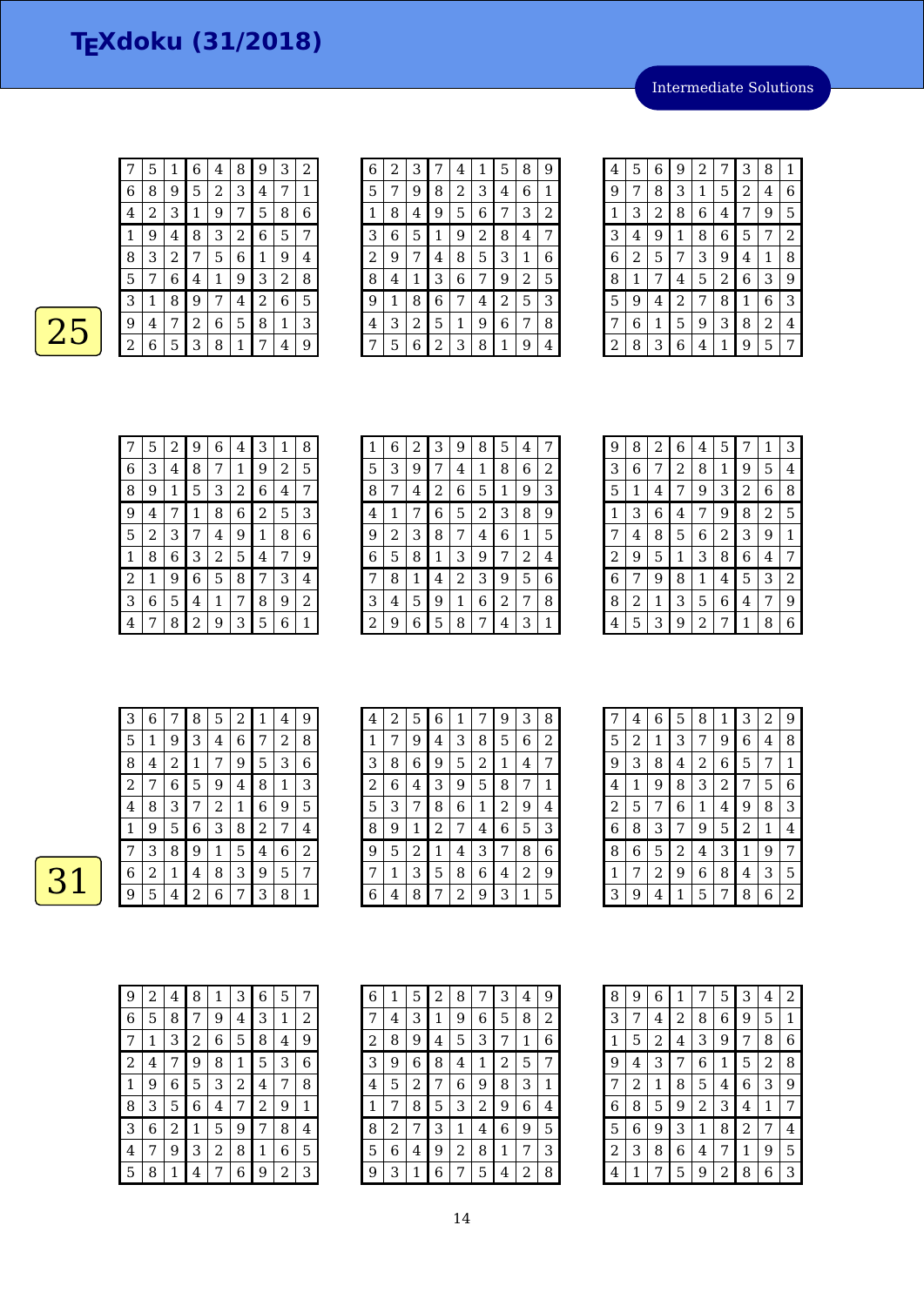Intermediate Solutions

|--|--|

|                | 5 | 1 | 6           | 4 | 8 | 9 | З | 2 |
|----------------|---|---|-------------|---|---|---|---|---|
| 6              | 8 | 9 | 5           | 2 | 3 | 4 | 7 | 1 |
| 4              | 2 | 3 | $\mathbf 1$ | 9 | 7 | 5 | 8 | 6 |
| 1              | 9 | 4 | 8           | 3 | 2 | 6 | 5 | 7 |
| 8              | 3 | 2 | 7           | 5 | 6 | 1 | 9 | 4 |
| 5              | 7 | 6 | 4           | 1 | 9 | 3 | 2 | 8 |
| З              | 1 | 8 | 9           | 7 | 4 | 2 | 6 | 5 |
| 9              | 4 | 7 | 2           | 6 | 5 | 8 | 1 | 3 |
| $\overline{c}$ | 6 | 5 | 3           | 8 | 1 | 7 | 4 | 9 |

| 6              | 2 | 3 | 7              | 4 | 1              | 5 | 8 | 9 |
|----------------|---|---|----------------|---|----------------|---|---|---|
| 5              | 7 | 9 | 8              | 2 | 3              | 4 | 6 | 1 |
| 1              | 8 | 4 | 9              | 5 | 6              | 7 | 3 | 2 |
| 3              | 6 | 5 | 1              | 9 | $\overline{c}$ | 8 | 4 | 7 |
| $\overline{2}$ | 9 | 7 | 4              | 8 | 5              | 3 | 1 | 6 |
| 8              | 4 | 1 | 3              | 6 | 7              | 9 | 2 | 5 |
| 9              | 1 | 8 | 6              | 7 | 4              | 2 | 5 | 3 |
| 4              | 3 | 2 | 5              | 1 | 9              | 6 | 7 | 8 |
|                | 5 | 6 | $\overline{2}$ | 3 | 8              | 1 | 9 | 4 |

| 4 | 5 | 6 | 9              | $\overline{c}$ | 7              | 3 | 8 | 1              |
|---|---|---|----------------|----------------|----------------|---|---|----------------|
| 9 | 7 | 8 | 3              | 1              | 5              | 2 | 4 | 6              |
| 1 | 3 | 2 | 8              | 6              | 4              | 7 | 9 | 5              |
| 3 | 4 | 9 | 1              | 8              | 6              | 5 | 7 | $\overline{c}$ |
| 6 | 2 | 5 | 7              | 3              | 9              | 4 | 1 | 8              |
| 8 | 1 | 7 | 4              | 5              | $\overline{c}$ | 6 | 3 | 9              |
| 5 | 9 | 4 | $\overline{c}$ | 7              | 8              | 1 | 6 | 3              |
| 7 | 6 | 1 | 5              | 9              | З              | 8 | 2 | 4              |
| 2 | 8 | 3 | 6              | 4              | 1              | 9 | 5 | 7              |

|              | 5 | 2 | 9                | 6 | 4 | 3              | 1 | 8 |
|--------------|---|---|------------------|---|---|----------------|---|---|
| 6            | 3 | 4 | 8                | 7 | 1 | 9              | 2 | 5 |
| 8            | 9 | 1 | 5                | 3 | 2 | 6              | 4 | 7 |
| 9            | 4 | 7 | 1                | 8 | 6 | $\overline{c}$ | 5 | 3 |
| 5            | 2 | 3 | 7                | 4 | 9 | 1              | 8 | 6 |
| $\mathbf{1}$ | 8 | 6 | 3                | 2 | 5 | 4              | 7 | 9 |
| 2            | 1 | 9 | 6                | 5 | 8 | 7              | 3 | 4 |
| 3            | 6 | 5 | 4                | 1 | 7 | 8              | 9 | 2 |
| 4            |   | 8 | $\boldsymbol{2}$ | 9 | 3 | 5              | 6 | 1 |

| 1 | 6 | 2 | 3 | 9 | 8 | 5 | 4 | 7 |
|---|---|---|---|---|---|---|---|---|
| 5 | З | 9 | 7 | 4 | 1 | 8 | 6 | 2 |
| 8 | 7 | 4 | 2 | 6 | 5 | 1 | 9 | З |
| 4 | 1 | 7 | 6 | 5 | 2 | 3 | 8 | 9 |
| 9 | 2 | З | 8 | 7 | 4 | 6 | 1 | 5 |
| 6 | 5 | 8 | 1 | З | 9 | 7 | 2 | 4 |
| 7 | 8 | 1 | 4 | 2 | 3 | 9 | 5 | 6 |
| 3 | 4 | 5 | 9 | 1 | 6 | 2 | 7 | 8 |
| 2 | 9 | 6 | 5 | 8 | 7 | 4 | З | 1 |

| 9              | 8 | 2 | 6 | 4 | 5 | 7 | 1 | 3 |
|----------------|---|---|---|---|---|---|---|---|
| 3              | 6 | 7 | 2 | 8 | 1 | 9 | 5 | 4 |
| 5              | 1 | 4 | 7 | 9 | 3 | 2 | 6 | 8 |
| 1              | З | 6 | 4 | 7 | 9 | 8 | 2 | 5 |
| 7              | 4 | 8 | 5 | 6 | 2 | 3 | 9 | 1 |
| $\overline{c}$ | 9 | 5 | 1 | 3 | 8 | 6 | 4 | 7 |
| 6              | 7 | 9 | 8 | 1 | 4 | 5 | 3 | 2 |
| 8              | 2 | 1 | 3 | 5 | 6 | 4 | 7 | 9 |
| 4              | 5 | 3 | 9 | 2 | 7 | 1 | 8 | 6 |

| З | 6 |              | 8 | 5 | 2 | 1              | 4 | 9 |
|---|---|--------------|---|---|---|----------------|---|---|
| 5 | 1 | 9            | З | 4 | 6 | 7              | 2 | 8 |
| 8 | 4 | 2            | 1 | 7 | 9 | 5              | 3 | 6 |
| 2 | 7 | 6            | 5 | 9 | 4 | 8              | 1 | 3 |
| 4 | 8 | 3            | 7 | 2 | 1 | 6              | 9 | 5 |
| 1 | 9 | 5            | 6 | 3 | 8 | $\overline{c}$ | 7 | 4 |
|   | 3 | 8            | 9 | 1 | 5 | 4              | 6 | 2 |
| 6 | 2 | $\mathbf{1}$ | 4 | 8 | З | 9              | 5 | 7 |
| 9 | 5 | 4            | 2 | 6 |   | 3              | 8 |   |
|   |   |              |   |   |   |                |   |   |

| 4 | $\overline{2}$ | 5 | 6           | 1              | 7 | 9              | 3 | 8 |
|---|----------------|---|-------------|----------------|---|----------------|---|---|
| 1 | 7              | 9 | 4           | 3              | 8 | 5              | 6 | 2 |
| 3 | 8              | 6 | 9           | 5              | 2 | $\mathbf 1$    | 4 | 7 |
| 2 | 6              | 4 | 3           | 9              | 5 | 8              | 7 | 1 |
| 5 | 3              | 7 | 8           | 6              | 1 | $\overline{2}$ | 9 | 4 |
| 8 | 9              | 1 | 2           | 7              | 4 | 6              | 5 | 3 |
| 9 | 5              | 2 | $\mathbf 1$ | 4              | 3 | 7              | 8 | 6 |
|   | 1              | 3 | 5           | 8              | 6 | 4              | 2 | 9 |
| 6 | 4              | 8 | 7           | $\overline{2}$ | 9 | 3              | 1 | 5 |

|                | 4 | 6              | 5              | 8              | 1              | 3              | 2 | 9              |
|----------------|---|----------------|----------------|----------------|----------------|----------------|---|----------------|
| 5              | 2 | 1              | 3              | 7              | 9              | 6              | 4 | 8              |
| 9              | 3 | 8              | 4              | $\overline{c}$ | 6              | 5              | 7 | $\mathbf 1$    |
| 4              | 1 | 9              | 8              | 3              | $\overline{c}$ | 7              | 5 | 6              |
| $\overline{2}$ | 5 | 7              | 6              | 1              | 4              | 9              | 8 | 3              |
| 6              | 8 | З              | 7              | 9              | 5              | $\overline{c}$ | 1 | 4              |
| 8              | 6 | 5              | $\overline{c}$ | 4              | 3              | 1              | 9 | 7              |
| 1              | 7 | $\overline{c}$ | 9              | 6              | 8              | 4              | 3 | 5              |
| 3              | 9 | 4              | $\mathbf 1$    | 5              | 7              | 8              | 6 | $\overline{2}$ |

| 9 | 2 | 4 | 8 | 1 | 3 | 6              | 5 | 7 |
|---|---|---|---|---|---|----------------|---|---|
| 6 | 5 | 8 | 7 | 9 | 4 | 3              | 1 | 2 |
| 7 | 1 | 3 | 2 | 6 | 5 | 8              | 4 | 9 |
| 2 | 4 | 7 | 9 | 8 | 1 | 5              | 3 | 6 |
| 1 | 9 | 6 | 5 | 3 | 2 | 4              | 7 | 8 |
| 8 | 3 | 5 | 6 | 4 | 7 | $\overline{c}$ | 9 | 1 |
| 3 | 6 | 2 | 1 | 5 | 9 | 7              | 8 | 4 |
| 4 |   | 9 | 3 | 2 | 8 | 1              | 6 | 5 |
| 5 | 8 |   | 4 | 7 | 6 | 9              | 2 | 3 |

| 6 | 1 | 5 | 2 | 8 | 7 | 3 | 4 | 9 |
|---|---|---|---|---|---|---|---|---|
| 7 | 4 | 3 | 1 | 9 | 6 | 5 | 8 | 2 |
| 2 | 8 | 9 | 4 | 5 | З | 7 | 1 | 6 |
| 3 | 9 | 6 | 8 | 4 | 1 | 2 | 5 | 7 |
| 4 | 5 | 2 | 7 | 6 | 9 | 8 | 3 | 1 |
| 1 | 7 | 8 | 5 | З | 2 | 9 | 6 | 4 |
| 8 | 2 | 7 | З | 1 | 4 | 6 | 9 | 5 |
| 5 | 6 | 4 | 9 | 2 | 8 | 1 | 7 | 3 |
| 9 | З | 1 | 6 | 7 | 5 | 4 | 2 | 8 |

| 8              | 9 | 6              | 1 | 7              | 5 | 3              | 4              | 2 |
|----------------|---|----------------|---|----------------|---|----------------|----------------|---|
| 3              | 7 | 4              | 2 | 8              | 6 | 9              | 5              | 1 |
| 1              | 5 | $\overline{c}$ | 4 | 3              | 9 | 7              | 8              | 6 |
| 9              | 4 | 3              | 7 | 6              | 1 | 5              | $\overline{c}$ | 8 |
| 7              | 2 | 1              | 8 | 5              | 4 | 6              | 3              | 9 |
| 6              | 8 | 5              | 9 | $\overline{c}$ | 3 | 4              | 1              | 7 |
| 5              | 6 | 9              | 3 | 1              | 8 | $\overline{c}$ | 7              | 4 |
| $\overline{c}$ | 3 | 8              | 6 | 4              | 7 | 1              | 9              | 5 |
| 4              | 1 | 7              | 5 | 9              | 2 | 8              | 6              | 3 |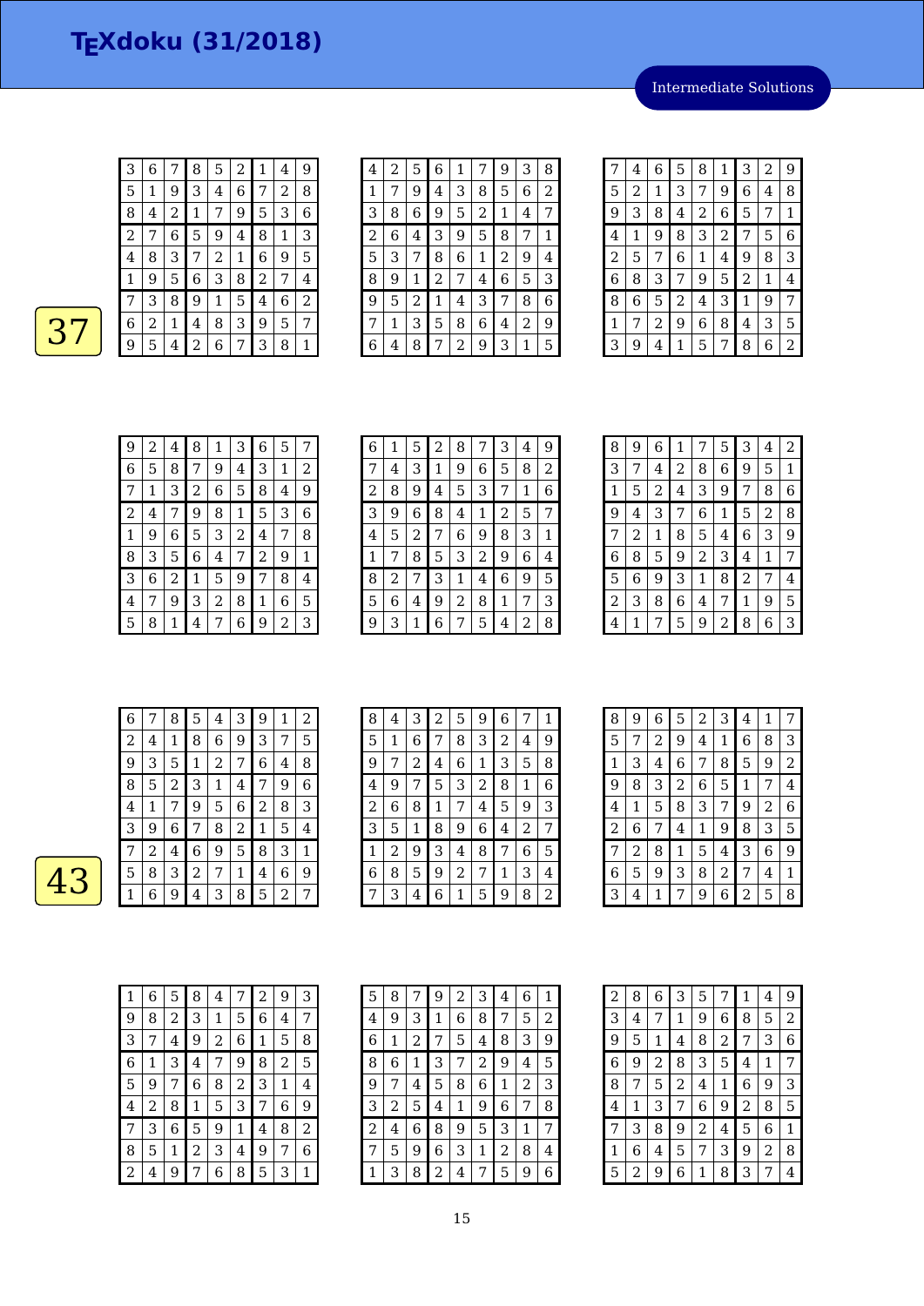Intermediate Solutions



| 3              | 6 |   | 8 | 5 | 2 | 1 | 4 | 9 |
|----------------|---|---|---|---|---|---|---|---|
| 5              | 1 | 9 | 3 | 4 | 6 | 7 | 2 | 8 |
| 8              | 4 | 2 | 1 | 7 | 9 | 5 | 3 | 6 |
| $\overline{c}$ | 7 | 6 | 5 | 9 | 4 | 8 | 1 | 3 |
| 4              | 8 | З | 7 | 2 | 1 | 6 | 9 | 5 |
| 1              | 9 | 5 | 6 | 3 | 8 | 2 | 7 | 4 |
| 7              | 3 | 8 | 9 | 1 | 5 | 4 | 6 | 2 |
| 6              | 2 | 1 | 4 | 8 | З | 9 | 5 | 7 |
| 9              | 5 | 4 | 2 | 6 | 7 | 3 | 8 | 1 |

| 2<br>7 | 5 | 6              | 1 |   |   |   |   |
|--------|---|----------------|---|---|---|---|---|
|        |   |                |   |   | 9 | 3 | 8 |
|        | 9 | 4              | 3 | 8 | 5 | 6 | 2 |
| 8      | 6 | 9              | 5 | 2 | 1 | 4 | 7 |
| 6      | 4 | 3              | 9 | 5 | 8 | 7 | 1 |
| 3      | 7 | 8              | 6 | 1 | 2 | 9 | 4 |
| 9      | 1 | $\overline{c}$ | 7 | 4 | 6 | 5 | 3 |
| 5      | 2 | 1              | 4 | 3 | 7 | 8 | 6 |
| 1      | З | 5              | 8 | 6 | 4 | 2 | 9 |
| 4      | 8 |                | 2 | 9 | 3 | 1 | 5 |
|        |   |                |   |   |   |   |   |

| 7 | 4 | 6 | 5              | 8 | 1              | 3 | 2 | 9 |
|---|---|---|----------------|---|----------------|---|---|---|
| 5 | 2 | 1 | 3              | 7 | 9              | 6 | 4 | 8 |
| 9 | 3 | 8 | 4              | 2 | 6              | 5 | 7 | 1 |
| 4 | 1 | 9 | 8              | 3 | $\overline{c}$ | 7 | 5 | 6 |
| 2 | 5 | 7 | 6              | 1 | 4              | 9 | 8 | 3 |
| 6 | 8 | 3 | 7              | 9 | 5              | 2 | 1 | 4 |
| 8 | 6 | 5 | $\overline{c}$ | 4 | 3              | 1 | 9 | 7 |
| 1 | 7 | 2 | 9              | 6 | 8              | 4 | 3 | 5 |
| 3 | 9 | 4 | 1              | 5 | 7              | 8 | 6 | 2 |

| 9 | 2 | 4 | 8 | 1 | З | 6 | 5 | 7 |
|---|---|---|---|---|---|---|---|---|
| 6 | 5 | 8 | 7 | 9 | 4 | З | 1 | 2 |
| 7 | 1 | 3 | 2 | 6 | 5 | 8 | 4 | 9 |
| 2 | 4 | 7 | 9 | 8 | 1 | 5 | 3 | 6 |
| 1 | 9 | 6 | 5 | 3 | 2 | 4 | 7 | 8 |
| 8 | 3 | 5 | 6 | 4 | 7 | 2 | 9 | 1 |
| 3 | 6 | 2 | 1 | 5 | 9 | 7 | 8 | 4 |
| 4 | 7 | 9 | 3 | 2 | 8 | 1 | 6 | 5 |
| 5 | 8 | 1 | 4 | 7 | 6 | 9 | 2 | 3 |

| 6 | 1 | 5 | $\overline{c}$ | 8 | 7 | 3 | 4 | 9 |
|---|---|---|----------------|---|---|---|---|---|
| 7 | 4 | З | 1              | 9 | 6 | 5 | 8 | 2 |
| 2 | 8 | 9 | 4              | 5 | 3 | 7 | 1 | 6 |
| З | 9 | 6 | 8              | 4 | 1 | 2 | 5 | 7 |
| 4 | 5 | 2 | 7              | 6 | 9 | 8 | 3 | 1 |
| 1 | 7 | 8 | 5              | З | 2 | 9 | 6 | 4 |
| 8 | 2 | 7 | 3              | 1 | 4 | 6 | 9 | 5 |
| 5 | 6 | 4 | 9              | 2 | 8 | 1 | 7 | З |
| 9 | З | 1 | 6              | 7 | 5 | 4 | 2 | 8 |

| 8 | 9 | 6 | 1 | 7              | 5 | 3 | 4 | 2 |
|---|---|---|---|----------------|---|---|---|---|
| 3 | 7 | 4 | 2 | 8              | 6 | 9 | 5 | 1 |
| 1 | 5 | 2 | 4 | 3              | 9 | 7 | 8 | 6 |
| 9 | 4 | 3 | 7 | 6              | 1 | 5 | 2 | 8 |
| 7 | 2 | 1 | 8 | 5              | 4 | 6 | 3 | 9 |
| 6 | 8 | 5 | 9 | $\overline{c}$ | 3 | 4 | 1 | 7 |
| 5 | 6 | 9 | 3 | 1              | 8 | 2 | 7 | 4 |
| 2 | 3 | 8 | 6 | 4              | 7 | 1 | 9 | 5 |
| 4 | 1 | 7 | 5 | 9              | 2 | 8 | 6 | 3 |

| 6 |   | 8 | 5 | 4 | З            | 9 | 1 | 2 |
|---|---|---|---|---|--------------|---|---|---|
| 2 | 4 | 1 | 8 | 6 | 9            | 3 | 7 | 5 |
| 9 | 3 | 5 | 1 | 2 | 7            | 6 | 4 | 8 |
| 8 | 5 | 2 | 3 | 1 | 4            | 7 | 9 | 6 |
| 4 | 1 | 7 | 9 | 5 | 6            | 2 | 8 | 3 |
| 3 | 9 | 6 | 7 | 8 | 2            | 1 | 5 | 4 |
|   | 2 | 4 | 6 | 9 | 5            | 8 | 3 | 1 |
| 5 | 8 | 3 | 2 | 7 | $\mathbf{1}$ | 4 | 6 | 9 |
|   | 6 | 9 | 4 | З | 8            | 5 | 2 | 7 |

| 8 | 4 | 3 | $\sqrt{2}$ | 5 | 9 | 6 | 7 | 1 |
|---|---|---|------------|---|---|---|---|---|
| 5 | 1 | 6 | 7          | 8 | 3 | 2 | 4 | 9 |
| 9 | 7 | 2 | 4          | 6 | 1 | 3 | 5 | 8 |
| 4 | 9 | 7 | 5          | 3 | 2 | 8 | 1 | 6 |
| 2 | 6 | 8 | 1          | 7 | 4 | 5 | 9 | 3 |
| 3 | 5 | 1 | 8          | 9 | 6 | 4 | 2 | 7 |
| 1 | 2 | 9 | 3          | 4 | 8 | 7 | 6 | 5 |
| 6 | 8 | 5 | 9          | 2 | 7 | 1 | 3 | 4 |
|   | 3 | 4 | 6          | 1 | 5 | 9 | 8 | 2 |

| 8              | 9 | 6 | 5 | 2 | 3              | 4 | 1 | 7 |
|----------------|---|---|---|---|----------------|---|---|---|
| 5              | 7 | 2 | 9 | 4 | 1              | 6 | 8 | З |
| 1              | 3 | 4 | 6 | 7 | 8              | 5 | 9 | 2 |
| 9              | 8 | 3 | 2 | 6 | 5              | 1 | 7 | 4 |
| 4              | 1 | 5 | 8 | 3 | 7              | 9 | 2 | 6 |
| $\overline{c}$ | 6 | 7 | 4 | 1 | 9              | 8 | 3 | 5 |
| 7              | 2 | 8 | 1 | 5 | 4              | 3 | 6 | 9 |
| 6              | 5 | 9 | 3 | 8 | $\overline{2}$ | 7 | 4 | 1 |
| 3              | 4 | 1 | 7 | 9 | 6              | 2 | 5 | 8 |

| 1 | 6 | 5 | 8 | 4 | 7              | $\overline{2}$ | 9 | З |
|---|---|---|---|---|----------------|----------------|---|---|
| 9 | 8 | 2 | 3 | 1 | 5              | 6              | 4 | 7 |
| 3 | 7 | 4 | 9 | 2 | 6              | 1              | 5 | 8 |
| 6 | 1 | 3 | 4 | 7 | 9              | 8              | 2 | 5 |
| 5 | 9 | 7 | 6 | 8 | $\overline{c}$ | 3              | 1 | 4 |
| 4 | 2 | 8 | 1 | 5 | 3              | 7              | 6 | 9 |
| 7 | 3 | 6 | 5 | 9 | 1              | 4              | 8 | 2 |
| 8 | 5 | 1 | 2 | 3 | 4              | 9              | 7 | 6 |
| 2 | 4 | 9 | 7 | 6 | 8              | 5              | З | 1 |

| 5 | 8 | 7 | 9 | 2 | З | 4 | 6 | 1 |
|---|---|---|---|---|---|---|---|---|
| 4 | 9 | З | 1 | 6 | 8 | 7 | 5 | 2 |
| 6 | 1 | 2 | 7 | 5 | 4 | 8 | 3 | 9 |
| 8 | 6 | 1 | З | 7 | 2 | 9 | 4 | 5 |
| 9 | 7 | 4 | 5 | 8 | 6 | 1 | 2 | 3 |
| 3 | 2 | 5 | 4 | 1 | 9 | 6 | 7 | 8 |
| 2 | 4 | 6 | 8 | 9 | 5 | 3 | 1 | 7 |
| 7 | 5 | 9 | 6 | 3 | 1 | 2 | 8 | 4 |
| 1 | 3 | 8 | 2 | 4 | 7 | 5 | 9 | 6 |

| 2 | 8 | 6              | 3              | 5 | 7              | 1              | 4 | 9              |
|---|---|----------------|----------------|---|----------------|----------------|---|----------------|
| 3 | 4 | 7              | 1              | 9 | 6              | 8              | 5 | $\overline{2}$ |
| 9 | 5 | 1              | 4              | 8 | $\overline{c}$ | 7              | 3 | 6              |
| 6 | 9 | $\overline{c}$ | 8              | 3 | 5              | 4              | 1 | 7              |
| 8 | 7 | 5              | $\overline{c}$ | 4 | 1              | 6              | 9 | 3              |
| 4 | 1 | 3              | 7              | 6 | 9              | $\overline{c}$ | 8 | 5              |
| 7 | 3 | 8              | 9              | 2 | 4              | 5              | 6 | 1              |
| 1 | 6 | 4              | 5              | 7 | 3              | 9              | 2 | 8              |
| 5 | 2 | 9              | 6              | 1 | 8              | 3              | 7 | 4              |